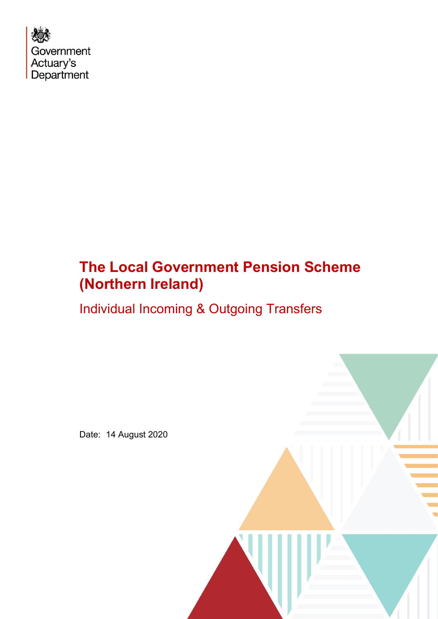

# **The Local Government Pension Scheme (Northern Ireland)**

Individual Incoming & Outgoing Transfers

Date: 14 August 2020

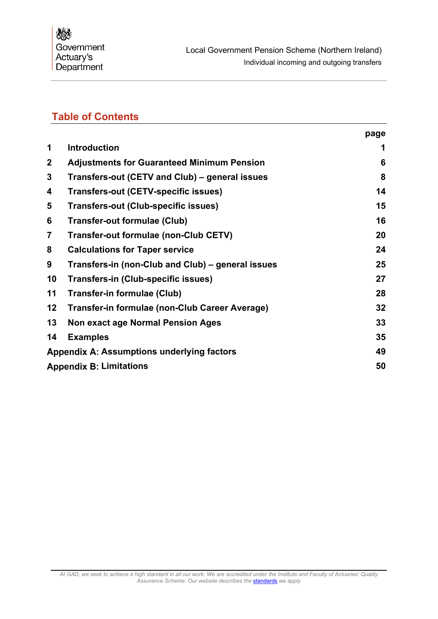## **Table of Contents**

|             |                                                   | page |
|-------------|---------------------------------------------------|------|
| 1           | <b>Introduction</b>                               | 1    |
| $\mathbf 2$ | <b>Adjustments for Guaranteed Minimum Pension</b> | 6    |
| 3           | Transfers-out (CETV and Club) – general issues    | 8    |
| 4           | <b>Transfers-out (CETV-specific issues)</b>       | 14   |
| 5           | <b>Transfers-out (Club-specific issues)</b>       | 15   |
| 6           | <b>Transfer-out formulae (Club)</b>               | 16   |
| 7           | Transfer-out formulae (non-Club CETV)             | 20   |
| 8           | <b>Calculations for Taper service</b>             | 24   |
| 9           | Transfers-in (non-Club and Club) – general issues | 25   |
| 10          | Transfers-in (Club-specific issues)               | 27   |
| 11          | <b>Transfer-in formulae (Club)</b>                | 28   |
| 12          | Transfer-in formulae (non-Club Career Average)    | 32   |
| 13          | <b>Non exact age Normal Pension Ages</b>          | 33   |
| 14          | <b>Examples</b>                                   | 35   |
|             | <b>Appendix A: Assumptions underlying factors</b> | 49   |
|             | <b>Appendix B: Limitations</b>                    | 50   |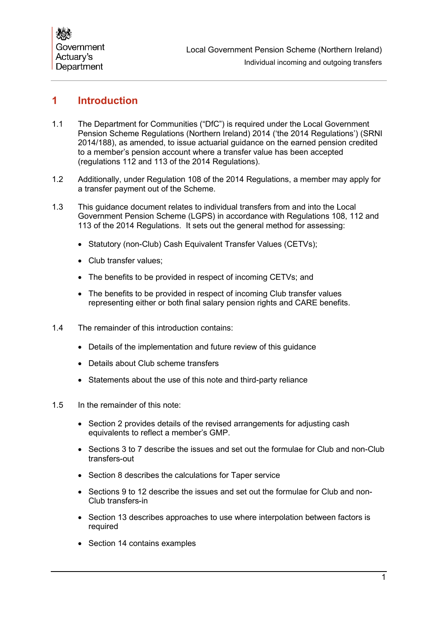## <span id="page-2-0"></span>**1 Introduction**

- 1.1 The Department for Communities ("DfC") is required under the Local Government Pension Scheme Regulations (Northern Ireland) 2014 ('the 2014 Regulations') (SRNI 2014/188), as amended, to issue actuarial guidance on the earned pension credited to a member's pension account where a transfer value has been accepted (regulations 112 and 113 of the 2014 Regulations).
- 1.2 Additionally, under Regulation 108 of the 2014 Regulations, a member may apply for a transfer payment out of the Scheme.
- 1.3 This guidance document relates to individual transfers from and into the Local Government Pension Scheme (LGPS) in accordance with Regulations 108, 112 and 113 of the 2014 Regulations. It sets out the general method for assessing:
	- Statutory (non-Club) Cash Equivalent Transfer Values (CETVs);
	- Club transfer values;
	- The benefits to be provided in respect of incoming CETVs; and
	- The benefits to be provided in respect of incoming Club transfer values representing either or both final salary pension rights and CARE benefits.
- 1.4 The remainder of this introduction contains:
	- Details of the implementation and future review of this guidance
	- Details about Club scheme transfers
	- Statements about the use of this note and third-party reliance
- 1.5 In the remainder of this note:
	- Section 2 provides details of the revised arrangements for adjusting cash equivalents to reflect a member's GMP.
	- Sections 3 to 7 describe the issues and set out the formulae for Club and non-Club transfers-out
	- Section 8 describes the calculations for Taper service
	- Sections 9 to 12 describe the issues and set out the formulae for Club and non-Club transfers-in
	- Section 13 describes approaches to use where interpolation between factors is required
	- Section 14 contains examples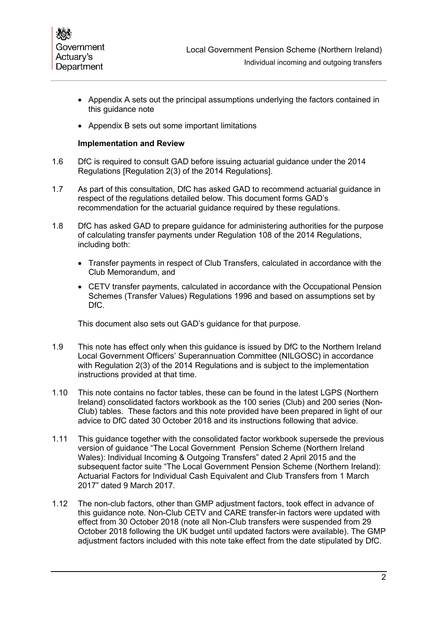

- Appendix A sets out the principal assumptions underlying the factors contained in this guidance note
- Appendix B sets out some important limitations

#### **Implementation and Review**

- 1.6 DfC is required to consult GAD before issuing actuarial guidance under the 2014 Regulations [Regulation 2(3) of the 2014 Regulations].
- 1.7 As part of this consultation, DfC has asked GAD to recommend actuarial guidance in respect of the regulations detailed below. This document forms GAD's recommendation for the actuarial guidance required by these regulations.
- 1.8 DfC has asked GAD to prepare guidance for administering authorities for the purpose of calculating transfer payments under Regulation 108 of the 2014 Regulations, including both:
	- Transfer payments in respect of Club Transfers, calculated in accordance with the Club Memorandum, and
	- CETV transfer payments, calculated in accordance with the Occupational Pension Schemes (Transfer Values) Regulations 1996 and based on assumptions set by DfC.

This document also sets out GAD's guidance for that purpose.

- 1.9 This note has effect only when this guidance is issued by DfC to the Northern Ireland Local Government Officers' Superannuation Committee (NILGOSC) in accordance with Regulation 2(3) of the 2014 Regulations and is subject to the implementation instructions provided at that time.
- 1.10 This note contains no factor tables, these can be found in the latest LGPS (Northern Ireland) consolidated factors workbook as the 100 series (Club) and 200 series (Non-Club) tables. These factors and this note provided have been prepared in light of our advice to DfC dated 30 October 2018 and its instructions following that advice.
- 1.11 This guidance together with the consolidated factor workbook supersede the previous version of guidance "The Local Government Pension Scheme (Northern Ireland Wales): Individual Incoming & Outgoing Transfers" dated 2 April 2015 and the subsequent factor suite "The Local Government Pension Scheme (Northern Ireland): Actuarial Factors for Individual Cash Equivalent and Club Transfers from 1 March 2017" dated 9 March 2017.
- <span id="page-3-0"></span>1.12 The non-club factors, other than GMP adjustment factors, took effect in advance of this guidance note. Non-Club CETV and CARE transfer-in factors were updated with effect from 30 October 2018 (note all Non-Club transfers were suspended from 29 October 2018 following the UK budget until updated factors were available). The GMP adjustment factors included with this note take effect from the date stipulated by DfC.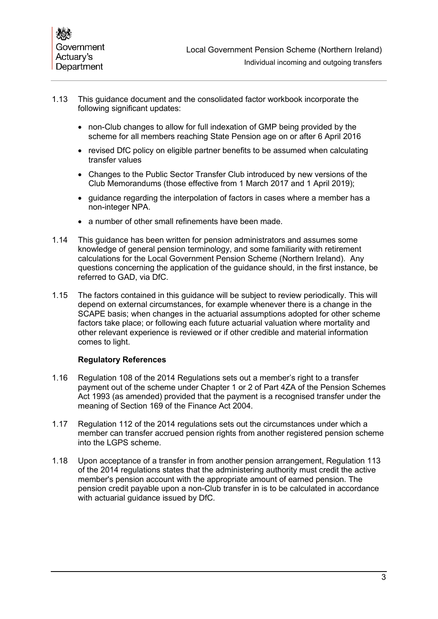- 1.13 This guidance document and the consolidated factor workbook incorporate the following significant updates:
	- non-Club changes to allow for full indexation of GMP being provided by the scheme for all members reaching State Pension age on or after 6 April 2016
	- revised DfC policy on eligible partner benefits to be assumed when calculating transfer values
	- Changes to the Public Sector Transfer Club introduced by new versions of the Club Memorandums (those effective from 1 March 2017 and 1 April 2019);
	- guidance regarding the interpolation of factors in cases where a member has a non-integer NPA.
	- a number of other small refinements have been made.
- 1.14 This guidance has been written for pension administrators and assumes some knowledge of general pension terminology, and some familiarity with retirement calculations for the Local Government Pension Scheme (Northern Ireland). Any questions concerning the application of the guidance should, in the first instance, be referred to GAD, via DfC.
- 1.15 The factors contained in this guidance will be subject to review periodically. This will depend on external circumstances, for example whenever there is a change in the SCAPE basis; when changes in the actuarial assumptions adopted for other scheme factors take place; or following each future actuarial valuation where mortality and other relevant experience is reviewed or if other credible and material information comes to light.

#### **Regulatory References**

- 1.16 Regulation 108 of the 2014 Regulations sets out a member's right to a transfer payment out of the scheme under Chapter 1 or 2 of Part 4ZA of the Pension Schemes Act 1993 (as amended) provided that the payment is a recognised transfer under the meaning of Section 169 of the Finance Act 2004.
- 1.17 Regulation 112 of the 2014 regulations sets out the circumstances under which a member can transfer accrued pension rights from another registered pension scheme into the LGPS scheme.
- 1.18 Upon acceptance of a transfer in from another pension arrangement, Regulation 113 of the 2014 regulations states that the administering authority must credit the active member's pension account with the appropriate amount of earned pension. The pension credit payable upon a non-Club transfer in is to be calculated in accordance with actuarial guidance issued by DfC.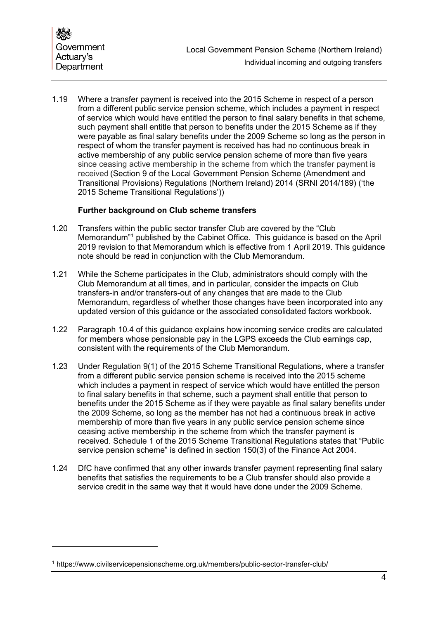1.19 Where a transfer payment is received into the 2015 Scheme in respect of a person from a different public service pension scheme, which includes a payment in respect of service which would have entitled the person to final salary benefits in that scheme, such payment shall entitle that person to benefits under the 2015 Scheme as if they were payable as final salary benefits under the 2009 Scheme so long as the person in respect of whom the transfer payment is received has had no continuous break in active membership of any public service pension scheme of more than five years since ceasing active membership in the scheme from which the transfer payment is received (Section 9 of the Local Government Pension Scheme (Amendment and Transitional Provisions) Regulations (Northern Ireland) 2014 (SRNI 2014/189) ('the 2015 Scheme Transitional Regulations'))

## **Further background on Club scheme transfers**

- 1.20 Transfers within the public sector transfer Club are covered by the "Club Memorandum"[1](#page-5-0) published by the Cabinet Office. This guidance is based on the April 2019 revision to that Memorandum which is effective from 1 April 2019. This guidance note should be read in conjunction with the Club Memorandum.
- 1.21 While the Scheme participates in the Club, administrators should comply with the Club Memorandum at all times, and in particular, consider the impacts on Club transfers-in and/or transfers-out of any changes that are made to the Club Memorandum, regardless of whether those changes have been incorporated into any updated version of this guidance or the associated consolidated factors workbook.
- 1.22 Paragraph [10.4](#page-28-1) of this guidance explains how incoming service credits are calculated for members whose pensionable pay in the LGPS exceeds the Club earnings cap, consistent with the requirements of the Club Memorandum.
- 1.23 Under Regulation 9(1) of the 2015 Scheme Transitional Regulations, where a transfer from a different public service pension scheme is received into the 2015 scheme which includes a payment in respect of service which would have entitled the person to final salary benefits in that scheme, such a payment shall entitle that person to benefits under the 2015 Scheme as if they were payable as final salary benefits under the 2009 Scheme, so long as the member has not had a continuous break in active membership of more than five years in any public service pension scheme since ceasing active membership in the scheme from which the transfer payment is received. Schedule 1 of the 2015 Scheme Transitional Regulations states that "Public service pension scheme" is defined in section 150(3) of the Finance Act 2004.
- 1.24 DfC have confirmed that any other inwards transfer payment representing final salary benefits that satisfies the requirements to be a Club transfer should also provide a service credit in the same way that it would have done under the 2009 Scheme.

<span id="page-5-0"></span><sup>1</sup> https://www.civilservicepensionscheme.org.uk/members/public-sector-transfer-club/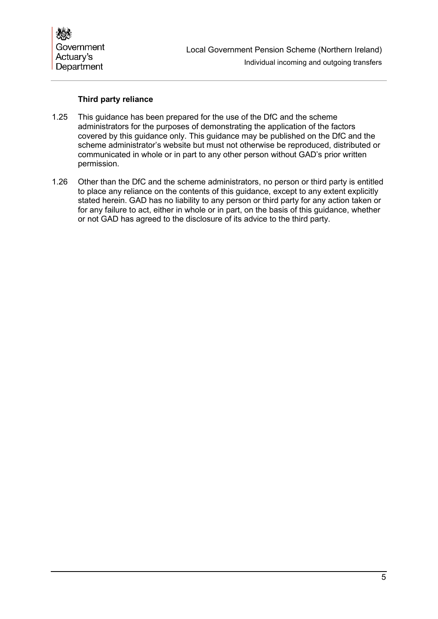

### **Third party reliance**

- 1.25 This guidance has been prepared for the use of the DfC and the scheme administrators for the purposes of demonstrating the application of the factors covered by this guidance only. This guidance may be published on the DfC and the scheme administrator's website but must not otherwise be reproduced, distributed or communicated in whole or in part to any other person without GAD's prior written permission.
- 1.26 Other than the DfC and the scheme administrators, no person or third party is entitled to place any reliance on the contents of this guidance, except to any extent explicitly stated herein. GAD has no liability to any person or third party for any action taken or for any failure to act, either in whole or in part, on the basis of this guidance, whether or not GAD has agreed to the disclosure of its advice to the third party.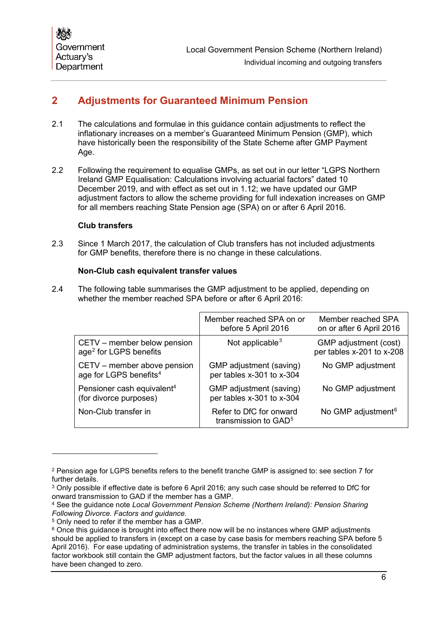## <span id="page-7-0"></span>**2 Adjustments for Guaranteed Minimum Pension**

- 2.1 The calculations and formulae in this guidance contain adjustments to reflect the inflationary increases on a member's Guaranteed Minimum Pension (GMP), which have historically been the responsibility of the State Scheme after GMP Payment Age.
- 2.2 Following the requirement to equalise GMPs, as set out in our letter "LGPS Northern Ireland GMP Equalisation: Calculations involving actuarial factors" dated 10 December 2019, and with effect as set out in [1.12;](#page-3-0) we have updated our GMP adjustment factors to allow the scheme providing for full indexation increases on GMP for all members reaching State Pension age (SPA) on or after 6 April 2016.

#### **Club transfers**

2.3 Since 1 March 2017, the calculation of Club transfers has not included adjustments for GMP benefits, therefore there is no change in these calculations.

## **Non-Club cash equivalent transfer values**

<span id="page-7-7"></span>2.4 The following table summarises the GMP adjustment to be applied, depending on whether the member reached SPA before or after 6 April 2016:

<span id="page-7-1"></span>

|                                                                   | Member reached SPA on or<br>before 5 April 2016             | Member reached SPA<br>on or after 6 April 2016     |
|-------------------------------------------------------------------|-------------------------------------------------------------|----------------------------------------------------|
| CETV – member below pension<br>age <sup>2</sup> for LGPS benefits | Not applicable $3$                                          | GMP adjustment (cost)<br>per tables x-201 to x-208 |
| CETV – member above pension<br>age for LGPS benefits <sup>4</sup> | GMP adjustment (saving)<br>per tables x-301 to x-304        | No GMP adjustment                                  |
| Pensioner cash equivalent <sup>4</sup><br>(for divorce purposes)  | GMP adjustment (saving)<br>per tables x-301 to x-304        | No GMP adjustment                                  |
| Non-Club transfer in                                              | Refer to DfC for onward<br>transmission to GAD <sup>5</sup> | No GMP adjustment <sup>6</sup>                     |

<span id="page-7-2"></span><sup>2</sup> Pension age for LGPS benefits refers to the benefit tranche GMP is assigned to: see section [7](#page-21-0) for further details.

<span id="page-7-3"></span><sup>3</sup> Only possible if effective date is before 6 April 2016; any such case should be referred to DfC for onward transmission to GAD if the member has a GMP.

<span id="page-7-4"></span><sup>4</sup> See the guidance note *Local Government Pension Scheme (Northern Ireland): Pension Sharing Following Divorce. Factors and guidance.*

<span id="page-7-5"></span><sup>5</sup> Only need to refer if the member has a GMP.

<span id="page-7-6"></span><sup>&</sup>lt;sup>6</sup> Once this quidance is brought into effect there now will be no instances where GMP adjustments should be applied to transfers in (except on a case by case basis for members reaching SPA before 5 April 2016). For ease updating of administration systems, the transfer in tables in the consolidated factor workbook still contain the GMP adjustment factors, but the factor values in all these columns have been changed to zero.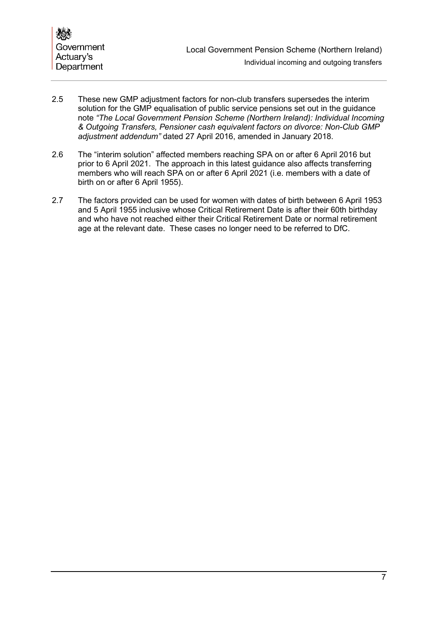

- 2.5 These new GMP adjustment factors for non-club transfers supersedes the interim solution for the GMP equalisation of public service pensions set out in the guidance note *"The Local Government Pension Scheme (Northern Ireland): Individual Incoming & Outgoing Transfers, Pensioner cash equivalent factors on divorce: Non-Club GMP adjustment addendum"* dated 27 April 2016, amended in January 2018.
- 2.6 The "interim solution" affected members reaching SPA on or after 6 April 2016 but prior to 6 April 2021. The approach in this latest guidance also affects transferring members who will reach SPA on or after 6 April 2021 (i.e. members with a date of birth on or after 6 April 1955).
- 2.7 The factors provided can be used for women with dates of birth between 6 April 1953 and 5 April 1955 inclusive whose Critical Retirement Date is after their 60th birthday and who have not reached either their Critical Retirement Date or normal retirement age at the relevant date. These cases no longer need to be referred to DfC.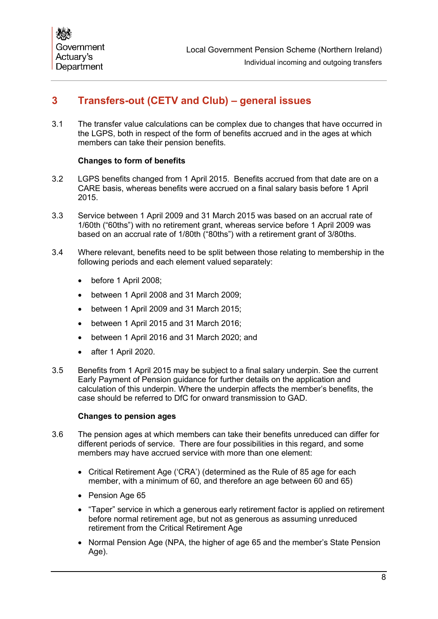## <span id="page-9-0"></span>**3 Transfers-out (CETV and Club) – general issues**

3.1 The transfer value calculations can be complex due to changes that have occurred in the LGPS, both in respect of the form of benefits accrued and in the ages at which members can take their pension benefits.

## **Changes to form of benefits**

- 3.2 LGPS benefits changed from 1 April 2015. Benefits accrued from that date are on a CARE basis, whereas benefits were accrued on a final salary basis before 1 April 2015.
- 3.3 Service between 1 April 2009 and 31 March 2015 was based on an accrual rate of 1/60th ("60ths") with no retirement grant, whereas service before 1 April 2009 was based on an accrual rate of 1/80th ("80ths") with a retirement grant of 3/80ths.
- 3.4 Where relevant, benefits need to be split between those relating to membership in the following periods and each element valued separately:
	- before 1 April 2008;
	- between 1 April 2008 and 31 March 2009;
	- between 1 April 2009 and 31 March 2015;
	- between 1 April 2015 and 31 March 2016;
	- between 1 April 2016 and 31 March 2020; and
	- after 1 April 2020.
- 3.5 Benefits from 1 April 2015 may be subject to a final salary underpin. See the current Early Payment of Pension guidance for further details on the application and calculation of this underpin. Where the underpin affects the member's benefits, the case should be referred to DfC for onward transmission to GAD.

#### **Changes to pension ages**

- 3.6 The pension ages at which members can take their benefits unreduced can differ for different periods of service. There are four possibilities in this regard, and some members may have accrued service with more than one element:
	- Critical Retirement Age ('CRA') (determined as the Rule of 85 age for each member, with a minimum of 60, and therefore an age between 60 and 65)
	- Pension Age 65
	- "Taper" service in which a generous early retirement factor is applied on retirement before normal retirement age, but not as generous as assuming unreduced retirement from the Critical Retirement Age
	- Normal Pension Age (NPA, the higher of age 65 and the member's State Pension Age).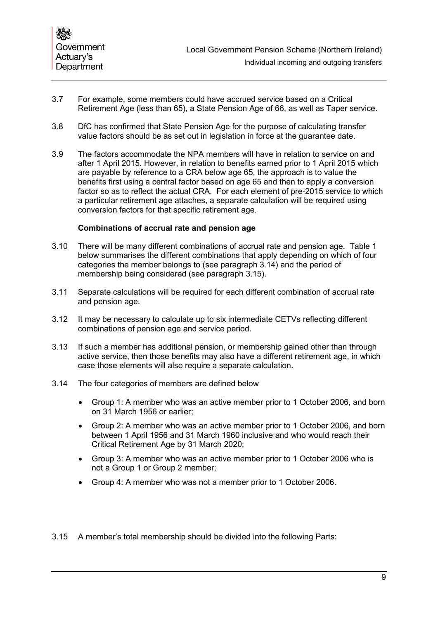- 3.7 For example, some members could have accrued service based on a Critical Retirement Age (less than 65), a State Pension Age of 66, as well as Taper service.
- 3.8 DfC has confirmed that State Pension Age for the purpose of calculating transfer value factors should be as set out in legislation in force at the guarantee date.
- 3.9 The factors accommodate the NPA members will have in relation to service on and after 1 April 2015. However, in relation to benefits earned prior to 1 April 2015 which are payable by reference to a CRA below age 65, the approach is to value the benefits first using a central factor based on age 65 and then to apply a conversion factor so as to reflect the actual CRA. For each element of pre-2015 service to which a particular retirement age attaches, a separate calculation will be required using conversion factors for that specific retirement age.

#### **Combinations of accrual rate and pension age**

- 3.10 There will be many different combinations of accrual rate and pension age. Table 1 below summarises the different combinations that apply depending on which of four categories the member belongs to (see paragraph [3.14\)](#page-10-0) and the period of membership being considered (see paragraph [3.15\)](#page-10-1).
- 3.11 Separate calculations will be required for each different combination of accrual rate and pension age.
- 3.12 It may be necessary to calculate up to six intermediate CETVs reflecting different combinations of pension age and service period.
- 3.13 If such a member has additional pension, or membership gained other than through active service, then those benefits may also have a different retirement age, in which case those elements will also require a separate calculation.
- <span id="page-10-0"></span>3.14 The four categories of members are defined below
	- Group 1: A member who was an active member prior to 1 October 2006, and born on 31 March 1956 or earlier;
	- Group 2: A member who was an active member prior to 1 October 2006, and born between 1 April 1956 and 31 March 1960 inclusive and who would reach their Critical Retirement Age by 31 March 2020;
	- Group 3: A member who was an active member prior to 1 October 2006 who is not a Group 1 or Group 2 member;
	- Group 4: A member who was not a member prior to 1 October 2006.
- <span id="page-10-1"></span>3.15 A member's total membership should be divided into the following Parts: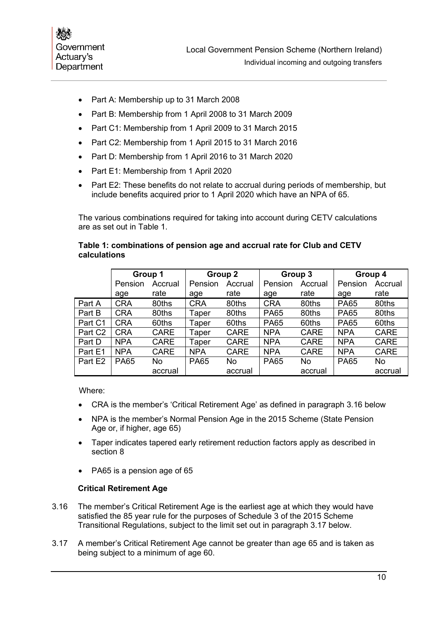

- Part A: Membership up to 31 March 2008
- Part B: Membership from 1 April 2008 to 31 March 2009
- Part C1: Membership from 1 April 2009 to 31 March 2015
- Part C2: Membership from 1 April 2015 to 31 March 2016
- Part D: Membership from 1 April 2016 to 31 March 2020
- Part E1: Membership from 1 April 2020
- Part E2: These benefits do not relate to accrual during periods of membership, but include benefits acquired prior to 1 April 2020 which have an NPA of 65.

The various combinations required for taking into account during CETV calculations are as set out in Table 1.

## **Table 1: combinations of pension age and accrual rate for Club and CETV calculations**

|                     | Group 1     |             | Group 2     |             | Group 3     |             | Group 4     |             |
|---------------------|-------------|-------------|-------------|-------------|-------------|-------------|-------------|-------------|
|                     | Pension     | Accrual     | Pension     | Accrual     | Pension     | Accrual     | Pension     | Accrual     |
|                     | age         | rate        | age         | rate        | age         | rate        | age         | rate        |
| Part A              | <b>CRA</b>  | 80ths       | <b>CRA</b>  | 80ths       | <b>CRA</b>  | 80ths       | <b>PA65</b> | 80ths       |
| Part B              | <b>CRA</b>  | 80ths       | Taper       | 80ths       | <b>PA65</b> | 80ths       | <b>PA65</b> | 80ths       |
| Part C1             | <b>CRA</b>  | 60ths       | Taper       | 60ths       | <b>PA65</b> | 60ths       | <b>PA65</b> | 60ths       |
| Part C <sub>2</sub> | <b>CRA</b>  | <b>CARE</b> | Taper       | <b>CARE</b> | <b>NPA</b>  | <b>CARE</b> | <b>NPA</b>  | <b>CARE</b> |
| Part D              | <b>NPA</b>  | <b>CARE</b> | Taper       | <b>CARE</b> | <b>NPA</b>  | <b>CARE</b> | <b>NPA</b>  | <b>CARE</b> |
| Part E1             | <b>NPA</b>  | <b>CARE</b> | <b>NPA</b>  | <b>CARE</b> | <b>NPA</b>  | <b>CARE</b> | <b>NPA</b>  | <b>CARE</b> |
| Part E <sub>2</sub> | <b>PA65</b> | No.         | <b>PA65</b> | No          | <b>PA65</b> | No          | <b>PA65</b> | No.         |
|                     |             | accrual     |             | accrual     |             | accrual     |             | accrual     |

Where:

- CRA is the member's 'Critical Retirement Age' as defined in paragraph [3.16](#page-11-0) below
- NPA is the member's Normal Pension Age in the 2015 Scheme (State Pension Age or, if higher, age 65)
- Taper indicates tapered early retirement reduction factors apply as described in section [8](#page-25-0)
- PA65 is a pension age of 65

## **Critical Retirement Age**

- <span id="page-11-0"></span>3.16 The member's Critical Retirement Age is the earliest age at which they would have satisfied the 85 year rule for the purposes of Schedule 3 of the 2015 Scheme Transitional Regulations, subject to the limit set out in paragraph [3.17](#page-11-1) below.
- <span id="page-11-1"></span>3.17 A member's Critical Retirement Age cannot be greater than age 65 and is taken as being subject to a minimum of age 60.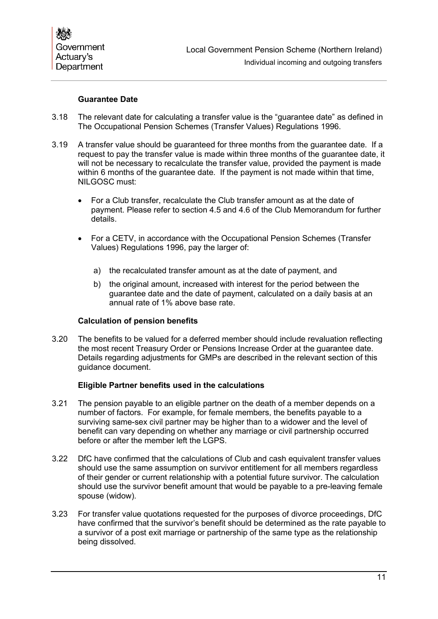### **Guarantee Date**

- 3.18 The relevant date for calculating a transfer value is the "guarantee date" as defined in The Occupational Pension Schemes (Transfer Values) Regulations 1996.
- 3.19 A transfer value should be guaranteed for three months from the guarantee date. If a request to pay the transfer value is made within three months of the guarantee date, it will not be necessary to recalculate the transfer value, provided the payment is made within 6 months of the guarantee date. If the payment is not made within that time, NILGOSC must:
	- For a Club transfer, recalculate the Club transfer amount as at the date of payment. Please refer to section 4.5 and 4.6 of the Club Memorandum for further details.
	- For a CETV, in accordance with the Occupational Pension Schemes (Transfer Values) Regulations 1996, pay the larger of:
		- a) the recalculated transfer amount as at the date of payment, and
		- b) the original amount, increased with interest for the period between the guarantee date and the date of payment, calculated on a daily basis at an annual rate of 1% above base rate.

#### **Calculation of pension benefits**

3.20 The benefits to be valued for a deferred member should include revaluation reflecting the most recent Treasury Order or Pensions Increase Order at the guarantee date. Details regarding adjustments for GMPs are described in the relevant section of this guidance document.

#### **Eligible Partner benefits used in the calculations**

- 3.21 The pension payable to an eligible partner on the death of a member depends on a number of factors. For example, for female members, the benefits payable to a surviving same-sex civil partner may be higher than to a widower and the level of benefit can vary depending on whether any marriage or civil partnership occurred before or after the member left the LGPS.
- 3.22 DfC have confirmed that the calculations of Club and cash equivalent transfer values should use the same assumption on survivor entitlement for all members regardless of their gender or current relationship with a potential future survivor. The calculation should use the survivor benefit amount that would be payable to a pre-leaving female spouse (widow).
- 3.23 For transfer value quotations requested for the purposes of divorce proceedings, DfC have confirmed that the survivor's benefit should be determined as the rate payable to a survivor of a post exit marriage or partnership of the same type as the relationship being dissolved.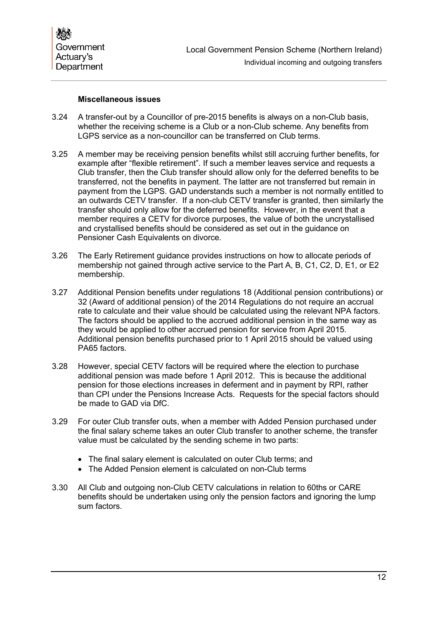

#### **Miscellaneous issues**

- 3.24 A transfer-out by a Councillor of pre-2015 benefits is always on a non-Club basis, whether the receiving scheme is a Club or a non-Club scheme. Any benefits from LGPS service as a non-councillor can be transferred on Club terms.
- 3.25 A member may be receiving pension benefits whilst still accruing further benefits, for example after "flexible retirement". If such a member leaves service and requests a Club transfer, then the Club transfer should allow only for the deferred benefits to be transferred, not the benefits in payment. The latter are not transferred but remain in payment from the LGPS. GAD understands such a member is not normally entitled to an outwards CETV transfer. If a non-club CETV transfer is granted, then similarly the transfer should only allow for the deferred benefits. However, in the event that a member requires a CETV for divorce purposes, the value of both the uncrystallised and crystallised benefits should be considered as set out in the guidance on Pensioner Cash Equivalents on divorce.
- 3.26 The Early Retirement guidance provides instructions on how to allocate periods of membership not gained through active service to the Part A, B, C1, C2, D, E1, or E2 membership.
- 3.27 Additional Pension benefits under regulations 18 (Additional pension contributions) or 32 (Award of additional pension) of the 2014 Regulations do not require an accrual rate to calculate and their value should be calculated using the relevant NPA factors. The factors should be applied to the accrued additional pension in the same way as they would be applied to other accrued pension for service from April 2015. Additional pension benefits purchased prior to 1 April 2015 should be valued using PA65 factors.
- 3.28 However, special CETV factors will be required where the election to purchase additional pension was made before 1 April 2012. This is because the additional pension for those elections increases in deferment and in payment by RPI, rather than CPI under the Pensions Increase Acts. Requests for the special factors should be made to GAD via DfC.
- 3.29 For outer Club transfer outs, when a member with Added Pension purchased under the final salary scheme takes an outer Club transfer to another scheme, the transfer value must be calculated by the sending scheme in two parts:
	- The final salary element is calculated on outer Club terms; and
	- The Added Pension element is calculated on non-Club terms
- 3.30 All Club and outgoing non-Club CETV calculations in relation to 60ths or CARE benefits should be undertaken using only the pension factors and ignoring the lump sum factors.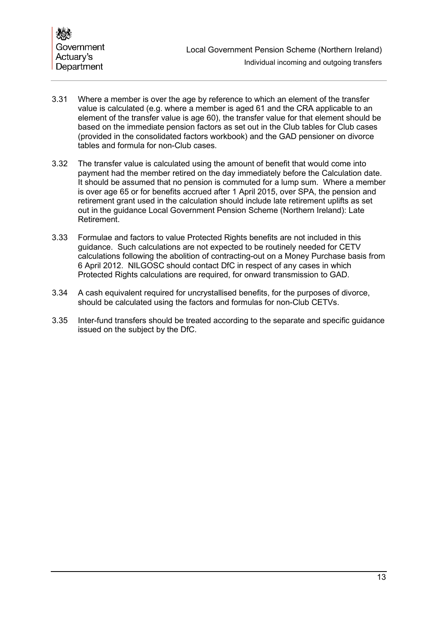- <span id="page-14-0"></span>3.31 Where a member is over the age by reference to which an element of the transfer value is calculated (e.g. where a member is aged 61 and the CRA applicable to an element of the transfer value is age 60), the transfer value for that element should be based on the immediate pension factors as set out in the Club tables for Club cases (provided in the consolidated factors workbook) and the GAD pensioner on divorce tables and formula for non-Club cases.
- 3.32 The transfer value is calculated using the amount of benefit that would come into payment had the member retired on the day immediately before the Calculation date. It should be assumed that no pension is commuted for a lump sum. Where a member is over age 65 or for benefits accrued after 1 April 2015, over SPA, the pension and retirement grant used in the calculation should include late retirement uplifts as set out in the guidance Local Government Pension Scheme (Northern Ireland): Late Retirement.
- 3.33 Formulae and factors to value Protected Rights benefits are not included in this guidance. Such calculations are not expected to be routinely needed for CETV calculations following the abolition of contracting-out on a Money Purchase basis from 6 April 2012. NILGOSC should contact DfC in respect of any cases in which Protected Rights calculations are required, for onward transmission to GAD.
- 3.34 A cash equivalent required for uncrystallised benefits, for the purposes of divorce, should be calculated using the factors and formulas for non-Club CETVs.
- 3.35 Inter-fund transfers should be treated according to the separate and specific guidance issued on the subject by the DfC.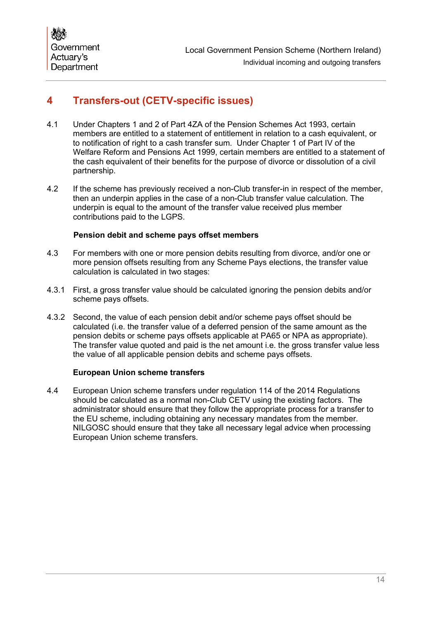## <span id="page-15-0"></span>**4 Transfers-out (CETV-specific issues)**

- 4.1 Under Chapters 1 and 2 of Part 4ZA of the Pension Schemes Act 1993, certain members are entitled to a statement of entitlement in relation to a cash equivalent, or to notification of right to a cash transfer sum. Under Chapter 1 of Part IV of the Welfare Reform and Pensions Act 1999, certain members are entitled to a statement of the cash equivalent of their benefits for the purpose of divorce or dissolution of a civil partnership.
- 4.2 If the scheme has previously received a non-Club transfer-in in respect of the member, then an underpin applies in the case of a non-Club transfer value calculation. The underpin is equal to the amount of the transfer value received plus member contributions paid to the LGPS.

## **Pension debit and scheme pays offset members**

- 4.3 For members with one or more pension debits resulting from divorce, and/or one or more pension offsets resulting from any Scheme Pays elections, the transfer value calculation is calculated in two stages:
- 4.3.1 First, a gross transfer value should be calculated ignoring the pension debits and/or scheme pays offsets.
- 4.3.2 Second, the value of each pension debit and/or scheme pays offset should be calculated (i.e. the transfer value of a deferred pension of the same amount as the pension debits or scheme pays offsets applicable at PA65 or NPA as appropriate). The transfer value quoted and paid is the net amount i.e. the gross transfer value less the value of all applicable pension debits and scheme pays offsets.

## **European Union scheme transfers**

4.4 European Union scheme transfers under regulation 114 of the 2014 Regulations should be calculated as a normal non-Club CETV using the existing factors. The administrator should ensure that they follow the appropriate process for a transfer to the EU scheme, including obtaining any necessary mandates from the member. NILGOSC should ensure that they take all necessary legal advice when processing European Union scheme transfers.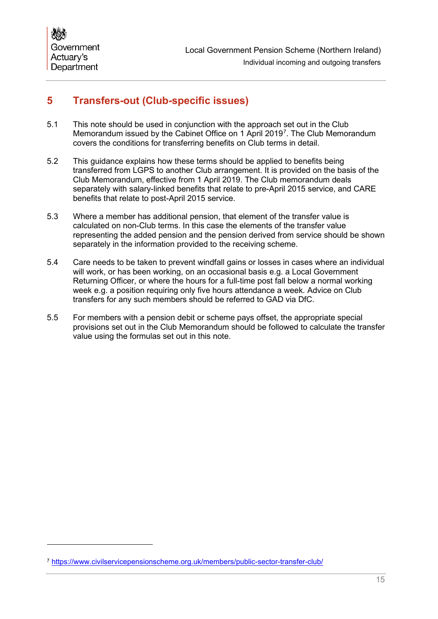## <span id="page-16-0"></span>**5 Transfers-out (Club-specific issues)**

- 5.1 This note should be used in conjunction with the approach set out in the Club Memorandum issued by the Cabinet Office on 1 April 2019[7](#page-16-1) . The Club Memorandum covers the conditions for transferring benefits on Club terms in detail.
- 5.2 This guidance explains how these terms should be applied to benefits being transferred from LGPS to another Club arrangement. It is provided on the basis of the Club Memorandum, effective from 1 April 2019. The Club memorandum deals separately with salary-linked benefits that relate to pre-April 2015 service, and CARE benefits that relate to post-April 2015 service.
- 5.3 Where a member has additional pension, that element of the transfer value is calculated on non-Club terms. In this case the elements of the transfer value representing the added pension and the pension derived from service should be shown separately in the information provided to the receiving scheme.
- 5.4 Care needs to be taken to prevent windfall gains or losses in cases where an individual will work, or has been working, on an occasional basis e.g. a Local Government Returning Officer, or where the hours for a full-time post fall below a normal working week e.g. a position requiring only five hours attendance a week. Advice on Club transfers for any such members should be referred to GAD via DfC.
- 5.5 For members with a pension debit or scheme pays offset, the appropriate special provisions set out in the Club Memorandum should be followed to calculate the transfer value using the formulas set out in this note.

<span id="page-16-1"></span><sup>7</sup> <https://www.civilservicepensionscheme.org.uk/members/public-sector-transfer-club/>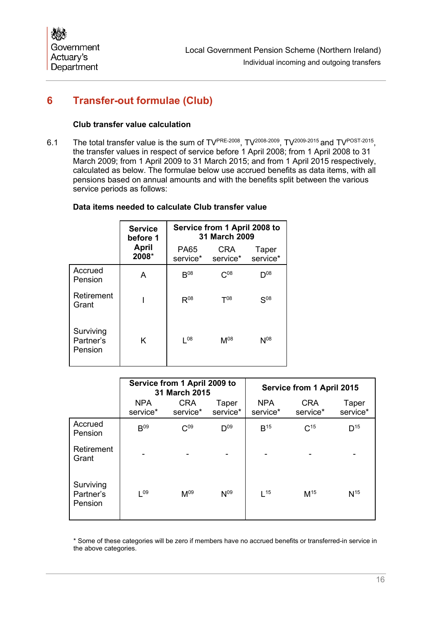## <span id="page-17-0"></span>**6 Transfer-out formulae (Club)**

#### **Club transfer value calculation**

6.1 The total transfer value is the sum of TVPRE-2008, TV<sup>2008-2009</sup>, TV<sup>2009-2015</sup> and TV<sup>POST-2015</sup>, the transfer values in respect of service before 1 April 2008; from 1 April 2008 to 31 March 2009; from 1 April 2009 to 31 March 2015; and from 1 April 2015 respectively, calculated as below. The formulae below use accrued benefits as data items, with all pensions based on annual amounts and with the benefits split between the various service periods as follows:

#### **Data items needed to calculate Club transfer value**

|                                   | <b>Service</b><br>before 1 |                         | Service from 1 April 2008 to<br>31 March 2009 |                   |
|-----------------------------------|----------------------------|-------------------------|-----------------------------------------------|-------------------|
|                                   | April<br>2008*             | <b>PA65</b><br>service* | <b>CRA</b><br>service*                        | Taper<br>service* |
| Accrued<br>Pension                | A                          | B <sup>08</sup>         | $C^{08}$                                      | $D^{08}$          |
| Retirement<br>Grant               |                            | $R^{08}$                | $T^{08}$                                      | $S^{08}$          |
| Surviving<br>Partner's<br>Pension | K                          | $\sqrt{08}$             | $M^{08}$                                      | $N^{08}$          |

|                                   | Service from 1 April 2009 to<br>31 March 2015 |                        |                   |                        | Service from 1 April 2015 |                   |
|-----------------------------------|-----------------------------------------------|------------------------|-------------------|------------------------|---------------------------|-------------------|
|                                   | <b>NPA</b><br>service*                        | <b>CRA</b><br>service* | Taper<br>service* | <b>NPA</b><br>service* | <b>CRA</b><br>service*    | Taper<br>service* |
| Accrued<br>Pension                | B <sup>09</sup>                               | C <sub>09</sub>        | $D^{09}$          | $B^{15}$               | $C^{15}$                  | $D^{15}$          |
| Retirement<br>Grant               |                                               |                        |                   |                        |                           |                   |
| Surviving<br>Partner's<br>Pension | $\sqrt{0.9}$                                  | M <sup>09</sup>        | N <sup>09</sup>   | $\vert$ 15             | M <sup>15</sup>           | N <sup>15</sup>   |

\* Some of these categories will be zero if members have no accrued benefits or transferred-in service in the above categories.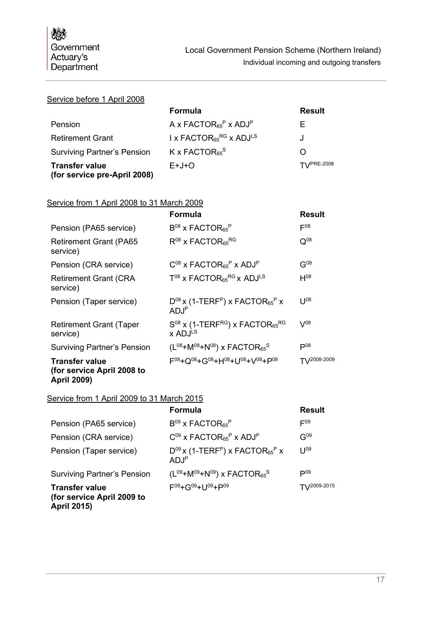#### Service before 1 April 2008

|                                                       | Formula                                                  | <b>Result</b>         |
|-------------------------------------------------------|----------------------------------------------------------|-----------------------|
| Pension                                               | A x FACTOR <sub>65</sub> <sup>P</sup> x ADJ <sup>P</sup> | F.                    |
| <b>Retirement Grant</b>                               | I x FACTOR <sub>65</sub> RG x ADJ <sup>LS</sup>          | J                     |
| <b>Surviving Partner's Pension</b>                    | $K$ x FACTOR <sub>65</sub> <sup>S</sup>                  | O                     |
| <b>Transfer value</b><br>(for service pre-April 2008) | $E+J+O$                                                  | $T\Upsilon$ /PRE-2008 |

#### Service from 1 April 2008 to 31 March 2009

|                                                                           | <b>Formula</b>                                                                              | Result            |
|---------------------------------------------------------------------------|---------------------------------------------------------------------------------------------|-------------------|
| Pension (PA65 service)                                                    | $B^{08}$ x FACTOR <sub>65</sub> <sup>P</sup>                                                | $F^{08}$          |
| <b>Retirement Grant (PA65</b><br>service)                                 | $R^{08}$ x FACTOR <sub>65</sub> RG                                                          | $Q^{08}$          |
| Pension (CRA service)                                                     | $C^{08}$ x FACTOR <sub>65</sub> <sup>P</sup> x ADJ <sup>P</sup>                             | $G^{08}$          |
| <b>Retirement Grant (CRA</b><br>service)                                  | $T^{08}$ x FACTOR <sub>65</sub> RG x ADJ <sup>LS</sup>                                      | $H^{08}$          |
| Pension (Taper service)                                                   | $D^{08}$ x (1-TERF <sup>P</sup> ) x FACTOR <sub>65</sub> <sup>P</sup> x<br>ADJ <sup>P</sup> | 1108              |
| <b>Retirement Grant (Taper</b><br>service)                                | $S^{08}$ x (1-TERF <sup>RG</sup> ) x FACTOR <sub>65</sub> RG<br>x ADJLS                     | $V^{08}$          |
| <b>Surviving Partner's Pension</b>                                        | $(L^{08}+M^{08}+N^{08})$ x FACTOR <sub>65</sub> <sup>S</sup>                                | $\mathsf{P}^{08}$ |
| <b>Transfer value</b><br>(for service April 2008 to<br><b>April 2009)</b> | $F^{08} + Q^{08} + G^{08} + H^{08} + 10^{08} + V^{08} + P^{08}$                             | $T1/2008 - 2009$  |

## Service from 1 April 2009 to 31 March 2015

|                                                     | <b>Formula</b>                                                                               | <b>Result</b>          |
|-----------------------------------------------------|----------------------------------------------------------------------------------------------|------------------------|
| Pension (PA65 service)                              | $B^{09}$ x FACTOR <sub>65</sub> <sup>P</sup>                                                 | $E^{09}$               |
| Pension (CRA service)                               | $C^{09}$ x FACTOR <sub>65</sub> <sup>P</sup> x ADJ <sup>P</sup>                              | $G^{09}$               |
| Pension (Taper service)                             | $D^{09}$ x (1-TERF <sup>P</sup> ) x FACTOR <sub>65</sub> <sup>P</sup> x<br>AD.J <sup>P</sup> | $11^{09}$              |
| <b>Surviving Partner's Pension</b>                  | $(L^{09}+M^{09}+N^{09})$ x FACTOR <sub>65</sub> <sup>S</sup>                                 | $D^{09}$               |
| <b>Transfer value</b><br>(for service April 2009 to | F09+G09+U09+P09                                                                              | $T\frac{1}{2009-2015}$ |

**April 2015)**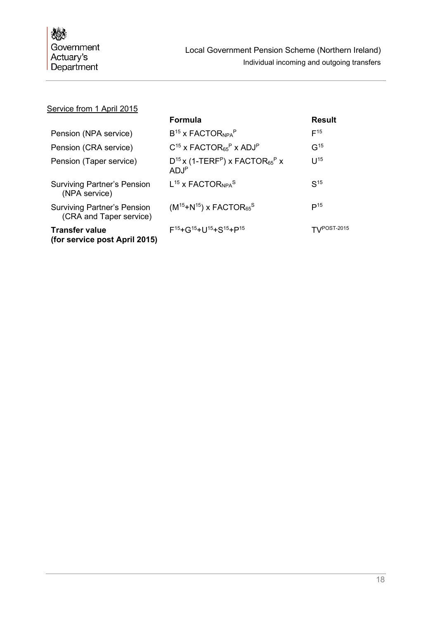## Service from 1 April 2015

|                                                               | <b>Formula</b>                                                                               | <b>Result</b>           |
|---------------------------------------------------------------|----------------------------------------------------------------------------------------------|-------------------------|
| Pension (NPA service)                                         | $B^{15}$ x FACTOR <sub>NPA</sub> P                                                           | $F^{15}$                |
| Pension (CRA service)                                         | $C^{15}$ x FACTOR <sub>65</sub> <sup>P</sup> x ADJ <sup>P</sup>                              | G <sup>15</sup>         |
| Pension (Taper service)                                       | $D^{15}$ x (1-TERF <sup>P</sup> ) x FACTOR <sub>65</sub> <sup>P</sup> x<br>AD.I <sup>P</sup> | $11^{15}$               |
| <b>Surviving Partner's Pension</b><br>(NPA service)           | $L^{15}$ x FACTOR <sub>NPA</sub> S                                                           | S <sup>15</sup>         |
| <b>Surviving Partner's Pension</b><br>(CRA and Taper service) | $(M^{15}+N^{15})$ x FACTOR <sub>65</sub> <sup>S</sup>                                        | P <sup>15</sup>         |
| <b>Transfer value</b><br>(for service post April 2015)        | $F^{15} + G^{15} + U^{15} + S^{15} + P^{15}$                                                 | $T\frac{1}{2}POST-2015$ |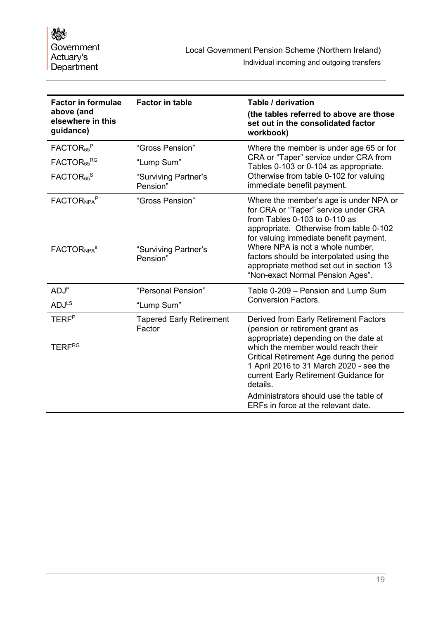| <b>Factor in formulae</b><br>above (and<br>elsewhere in this<br>guidance) | <b>Factor in table</b>                              | Table / derivation<br>(the tables referred to above are those<br>set out in the consolidated factor<br>workbook)                                                                                                                                                                                                                                                     |
|---------------------------------------------------------------------------|-----------------------------------------------------|----------------------------------------------------------------------------------------------------------------------------------------------------------------------------------------------------------------------------------------------------------------------------------------------------------------------------------------------------------------------|
| FACTOR <sub>65</sub> <sup>P</sup>                                         | "Gross Pension"                                     | Where the member is under age 65 or for                                                                                                                                                                                                                                                                                                                              |
| FACTOR <sub>65</sub> RG                                                   | "Lump Sum"                                          | CRA or "Taper" service under CRA from<br>Tables 0-103 or 0-104 as appropriate.                                                                                                                                                                                                                                                                                       |
| FACTOR <sub>65</sub> <sup>S</sup>                                         | "Surviving Partner's<br>Pension"                    | Otherwise from table 0-102 for valuing<br>immediate benefit payment.                                                                                                                                                                                                                                                                                                 |
| FACTOR <sub>NPA</sub> P<br><b>FACTORNPA<sup>S</sup></b>                   | "Gross Pension"<br>"Surviving Partner's<br>Pension" | Where the member's age is under NPA or<br>for CRA or "Taper" service under CRA<br>from Tables 0-103 to 0-110 as<br>appropriate. Otherwise from table 0-102<br>for valuing immediate benefit payment.<br>Where NPA is not a whole number,<br>factors should be interpolated using the<br>appropriate method set out in section 13<br>"Non-exact Normal Pension Ages". |
| ADJ <sup>P</sup>                                                          | "Personal Pension"                                  | Table 0-209 - Pension and Lump Sum                                                                                                                                                                                                                                                                                                                                   |
| <b>ADJLS</b>                                                              | "Lump Sum"                                          | <b>Conversion Factors.</b>                                                                                                                                                                                                                                                                                                                                           |
| <b>TERF</b> <sup>P</sup>                                                  | <b>Tapered Early Retirement</b><br>Factor           | Derived from Early Retirement Factors<br>(pension or retirement grant as<br>appropriate) depending on the date at                                                                                                                                                                                                                                                    |
| <b>TERFRG</b>                                                             |                                                     | which the member would reach their<br>Critical Retirement Age during the period<br>1 April 2016 to 31 March 2020 - see the<br>current Early Retirement Guidance for<br>details.                                                                                                                                                                                      |
|                                                                           |                                                     | Administrators should use the table of<br>ERFs in force at the relevant date.                                                                                                                                                                                                                                                                                        |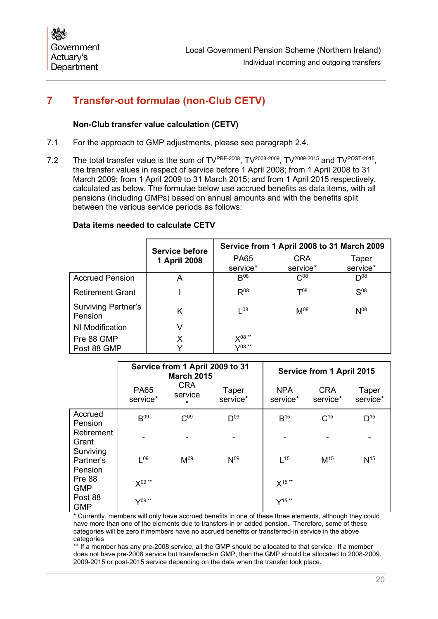## <span id="page-21-0"></span>**7 Transfer-out formulae (non-Club CETV)**

## **Non-Club transfer value calculation (CETV)**

- 7.1 For the approach to GMP adjustments, please see paragraph [2.4.](#page-7-7)
- 7.2 The total transfer value is the sum of TV<sup>PRE-2008</sup>, TV<sup>2008-2009</sup>, TV<sup>2009-2015</sup> and TV<sup>POST-2015</sup>, the transfer values in respect of service before 1 April 2008; from 1 April 2008 to 31 March 2009; from 1 April 2009 to 31 March 2015; and from 1 April 2015 respectively, calculated as below. The formulae below use accrued benefits as data items, with all pensions (including GMPs) based on annual amounts and with the benefits split between the various service periods as follows:

#### **Data items needed to calculate CETV**

|                                       | <b>Service before</b> | Service from 1 April 2008 to 31 March 2009 |                        |                   |
|---------------------------------------|-----------------------|--------------------------------------------|------------------------|-------------------|
|                                       | 1 April 2008          | <b>PA65</b><br>service*                    | <b>CRA</b><br>service* | Taper<br>service* |
| <b>Accrued Pension</b>                | А                     | $B^{08}$                                   | $C^{08}$               | $\mathsf{D}^{08}$ |
| <b>Retirement Grant</b>               |                       | $R^{08}$                                   | $T^{08}$               | $S^{08}$          |
| <b>Surviving Partner's</b><br>Pension | Κ                     | 08                                         | $M^{08}$               | $N^{08}$          |
| NI Modification                       | V                     |                                            |                        |                   |
| Pre 88 GMP<br>Post 88 GMP             | Х                     | X08**<br>$\sqrt{08}$ **                    |                        |                   |

|                                  | Service from 1 April 2009 to 31<br><b>March 2015</b> |                                  |                   | Service from 1 April 2015 |                        |                   |
|----------------------------------|------------------------------------------------------|----------------------------------|-------------------|---------------------------|------------------------|-------------------|
|                                  | <b>PA65</b><br>service*                              | <b>CRA</b><br>service<br>$\star$ | Taper<br>service* | <b>NPA</b><br>service*    | <b>CRA</b><br>service* | Taper<br>service* |
| Accrued<br>Pension               | B <sup>09</sup>                                      | C <sub>09</sub>                  | $D^{09}$          | $B^{15}$                  | C <sup>15</sup>        | D <sup>15</sup>   |
| Retirement<br>Grant<br>Surviving | ۰                                                    |                                  |                   |                           |                        |                   |
| Partner's<br>Pension             | 109                                                  | M <sup>09</sup>                  | N <sup>09</sup>   | $\vert$ 15                | M <sup>15</sup>        | N <sup>15</sup>   |
| Pre 88<br><b>GMP</b>             | $X^{09**}$                                           |                                  |                   | $X^{15**}$                |                        |                   |
| Post 88<br><b>GMP</b>            | $Y^{09**}$                                           |                                  |                   | $Y^{15**}$                |                        |                   |

\* Currently, members will only have accrued benefits in one of these three elements, although they could have more than one of the elements due to transfers-in or added pension. Therefore, some of these categories will be zero if members have no accrued benefits or transferred-in service in the above categories

\*\* If a member has any pre-2008 service, all the GMP should be allocated to that service. If a member does not have pre-2008 service but transferred-in GMP, then the GMP should be allocated to 2008-2009, 2009-2015 or post-2015 service depending on the date when the transfer took place.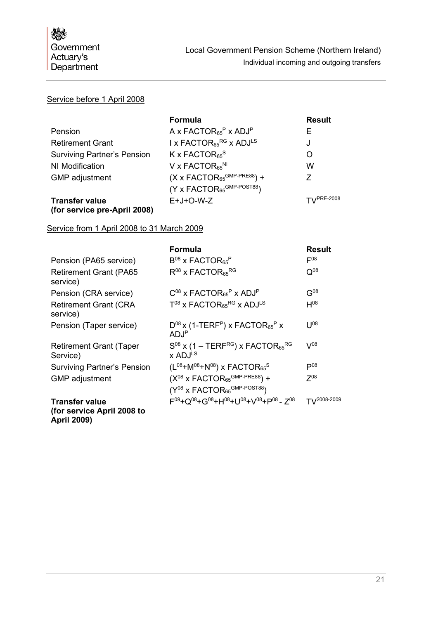## Service before 1 April 2008

|                                                       | <b>Formula</b>                                           | <b>Result</b>             |
|-------------------------------------------------------|----------------------------------------------------------|---------------------------|
| Pension                                               | A x FACTOR <sub>65</sub> <sup>P</sup> x ADJ <sup>P</sup> | Е                         |
| <b>Retirement Grant</b>                               | I x FACTOR $_{65}$ <sup>RG</sup> x ADJ <sup>LS</sup>     | J                         |
| <b>Surviving Partner's Pension</b>                    | K x FACTOR $_{65}$ <sup>S</sup>                          | O                         |
| NI Modification                                       | V x FACTOR <sub>65</sub> <sup>NI</sup>                   | W                         |
| <b>GMP</b> adjustment                                 | $(X \times FACTOR_{65}^{GMP-PRE88})$ +                   | 7                         |
|                                                       | $(Y \times FACTOR_{65}^{GMP-POST88})$                    |                           |
| <b>Transfer value</b><br>(for service pre-April 2008) | $E+J+O-W-Z$                                              | $T$ <sub>V</sub> PRE-2008 |

#### Service from 1 April 2008 to 31 March 2009

|                                                                                      | Formula                                                                                     | <b>Result</b> |
|--------------------------------------------------------------------------------------|---------------------------------------------------------------------------------------------|---------------|
| Pension (PA65 service)                                                               | $B^{08}$ x FACTOR <sub>65</sub> <sup>P</sup>                                                | $F^{08}$      |
| <b>Retirement Grant (PA65</b><br>service)                                            | $R^{08}$ x FACTOR <sub>65</sub> RG                                                          | $Q^{08}$      |
| Pension (CRA service)                                                                | $C^{08}$ x FACTOR <sub>65</sub> <sup>P</sup> x ADJ <sup>P</sup>                             | $G^{08}$      |
| <b>Retirement Grant (CRA</b><br>service)                                             | $T^{08}$ x FACTOR <sub>65</sub> RG x ADJ <sup>LS</sup>                                      | $H^{08}$      |
| Pension (Taper service)                                                              | $D^{08}$ x (1-TERF <sup>P</sup> ) x FACTOR <sub>65</sub> <sup>P</sup> x<br>ADJ <sup>P</sup> | $11^{08}$     |
| <b>Retirement Grant (Taper</b><br>Service)                                           | $S^{08}$ x (1 – TERF <sup>RG</sup> ) x FACTOR <sub>65</sub> RG<br>x ADJ <sup>LS</sup>       | $V^{08}$      |
| <b>Surviving Partner's Pension</b>                                                   | $(L^{08}+M^{08}+N^{08})$ x FACTOR <sub>65</sub> <sup>S</sup>                                | $P^{08}$      |
| <b>GMP</b> adjustment                                                                | $(X^{08}$ x FACTOR <sub>65</sub> GMP-PRE88) +                                               | $7^{08}$      |
|                                                                                      | $(Y^{08}$ x FACTOR <sub>65</sub> GMP-POST88)                                                |               |
| <b>Transfer value</b><br>(for service April 2008 to<br>$\blacksquare$ $\blacksquare$ | $F^{09} + O^{08} + G^{08} + H^{08} + U^{08} + V^{08} + P^{08} - Z^{08}$                     | T\/2008-2009  |

**April 2009)**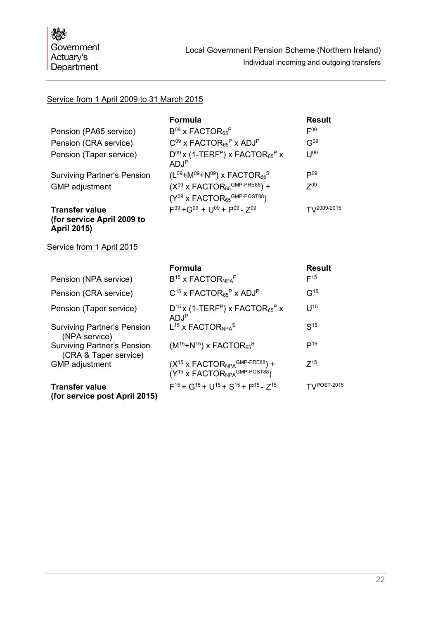## Service from 1 April 2009 to 31 March 2015

|                                    | <b>Formula</b>                                                                               | <b>Result</b>     |
|------------------------------------|----------------------------------------------------------------------------------------------|-------------------|
| Pension (PA65 service)             | $B^{09}$ x FACTOR <sub>65</sub> <sup>P</sup>                                                 | $E_{03}$          |
| Pension (CRA service)              | $C^{09}$ x FACTOR <sub>65</sub> <sup>P</sup> x ADJ <sup>P</sup>                              | G <sup>09</sup>   |
| Pension (Taper service)            | $D^{09}$ x (1-TERF <sup>P</sup> ) x FACTOR <sub>65</sub> <sup>P</sup> x<br>AD.I <sup>P</sup> | 1109              |
| <b>Surviving Partner's Pension</b> | $(L^{09}+M^{09}+N^{09})$ x FACTOR <sub>65</sub> <sup>S</sup>                                 | $\mathsf{P}^{09}$ |
| <b>GMP</b> adjustment              | $(X^{09}$ x FACTOR <sub>65</sub> GMP-PRE88) +                                                | 709               |
|                                    | $(Y^{09}$ x FACTOR <sub>65</sub> GMP-POST88)                                                 |                   |
| <b>Transfer value</b>              | $F^{09} + G^{09} + 11^{09} + P^{09} - 7^{09}$                                                | $T1^{2009-2015}$  |

## **(for service April 2009 to April 2015)**

## Service from 1 April 2015

|                                                             | <b>Formula</b>                                                                                     | <b>Result</b>     |
|-------------------------------------------------------------|----------------------------------------------------------------------------------------------------|-------------------|
| Pension (NPA service)                                       | $B^{15}$ x FACTOR <sub>NPA</sub> P                                                                 | $F^{15}$          |
| Pension (CRA service)                                       | $C^{15}$ x FACTOR <sub>65</sub> <sup>P</sup> x ADJ <sup>P</sup>                                    | G <sup>15</sup>   |
| Pension (Taper service)                                     | $D^{15}$ x (1-TERF <sup>P</sup> ) x FACTOR <sub>65</sub> <sup>P</sup> x<br>ADJ <sup>P</sup>        | $11^{15}$         |
| <b>Surviving Partner's Pension</b><br>(NPA service)         | $L^{15}$ x FACTOR <sub>NPA</sub> <sup>S</sup>                                                      | S <sup>15</sup>   |
| <b>Surviving Partner's Pension</b><br>(CRA & Taper service) | $(M^{15} + N^{15})$ x FACTOR <sub>65</sub> <sup>S</sup>                                            | $\mathsf{P}^{15}$ |
| <b>GMP</b> adjustment                                       | $(X15 X FACTORNPAGMP-PRE88) +$<br>$(Y^{15}$ x FACTOR <sub>NPA</sub> GMP-POST88)                    | $7^{15}$          |
| <b>Transfer value</b><br>(for service post April 2015)      | $F^{15}$ + G <sup>15</sup> + U <sup>15</sup> + S <sup>15</sup> + P <sup>15</sup> - 7 <sup>15</sup> | TV/POST-2015      |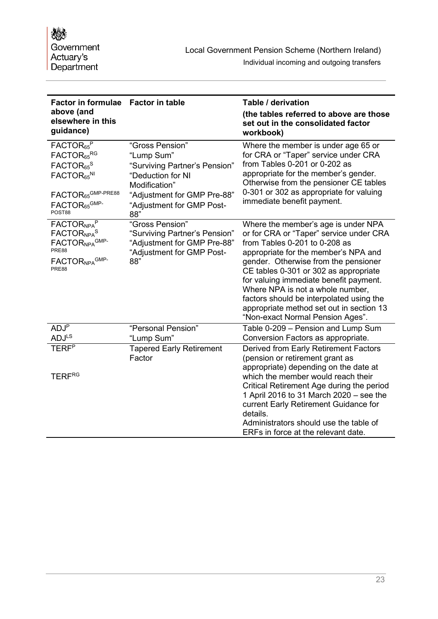| Factor in formulae Factor in table<br>above (and<br>elsewhere in this<br>guidance)                                                                                                                    |                                                                                                                                                                         | Table / derivation<br>(the tables referred to above are those<br>set out in the consolidated factor<br>workbook)                                                                                                                                                                                                                                                                                                                                       |
|-------------------------------------------------------------------------------------------------------------------------------------------------------------------------------------------------------|-------------------------------------------------------------------------------------------------------------------------------------------------------------------------|--------------------------------------------------------------------------------------------------------------------------------------------------------------------------------------------------------------------------------------------------------------------------------------------------------------------------------------------------------------------------------------------------------------------------------------------------------|
| FACTOR <sub>65</sub> <sup>P</sup><br>FACTOR <sub>65</sub> RG<br>FACTOR <sub>65</sub> <sup>S</sup><br>FACTOR <sub>65</sub> NI<br>FACTOR <sub>65</sub> GMP-PRE88<br>FACTOR <sub>65</sub> GMP-<br>POST88 | "Gross Pension"<br>"Lump Sum"<br>"Surviving Partner's Pension"<br>"Deduction for NI<br>Modification"<br>"Adjustment for GMP Pre-88"<br>"Adjustment for GMP Post-<br>88" | Where the member is under age 65 or<br>for CRA or "Taper" service under CRA<br>from Tables 0-201 or 0-202 as<br>appropriate for the member's gender.<br>Otherwise from the pensioner CE tables<br>0-301 or 302 as appropriate for valuing<br>immediate benefit payment.                                                                                                                                                                                |
| FACTOR <sub>NPA</sub> P<br>FACTOR <sub>NPA</sub> S<br>FACTORNPA <sup>GMP-</sup><br>PRE88<br>FACTOR <sub>NPA</sub> GMP-<br>PRE88                                                                       | "Gross Pension"<br>"Surviving Partner's Pension"<br>"Adjustment for GMP Pre-88"<br>"Adjustment for GMP Post-<br>88"                                                     | Where the member's age is under NPA<br>or for CRA or "Taper" service under CRA<br>from Tables $0-201$ to $0-208$ as<br>appropriate for the member's NPA and<br>gender. Otherwise from the pensioner<br>CE tables 0-301 or 302 as appropriate<br>for valuing immediate benefit payment.<br>Where NPA is not a whole number,<br>factors should be interpolated using the<br>appropriate method set out in section 13<br>"Non-exact Normal Pension Ages". |
| ADJ <sup>F</sup><br><b>ADJ</b> LS                                                                                                                                                                     | "Personal Pension"<br>"Lump Sum"                                                                                                                                        | Table 0-209 - Pension and Lump Sum<br>Conversion Factors as appropriate.                                                                                                                                                                                                                                                                                                                                                                               |
| <b>TERF</b> <sup>P</sup><br><b>TERFRG</b>                                                                                                                                                             | <b>Tapered Early Retirement</b><br>Factor                                                                                                                               | Derived from Early Retirement Factors<br>(pension or retirement grant as<br>appropriate) depending on the date at<br>which the member would reach their<br>Critical Retirement Age during the period<br>1 April 2016 to 31 March 2020 - see the<br>current Early Retirement Guidance for<br>details.<br>Administrators should use the table of                                                                                                         |
|                                                                                                                                                                                                       |                                                                                                                                                                         | ERFs in force at the relevant date.                                                                                                                                                                                                                                                                                                                                                                                                                    |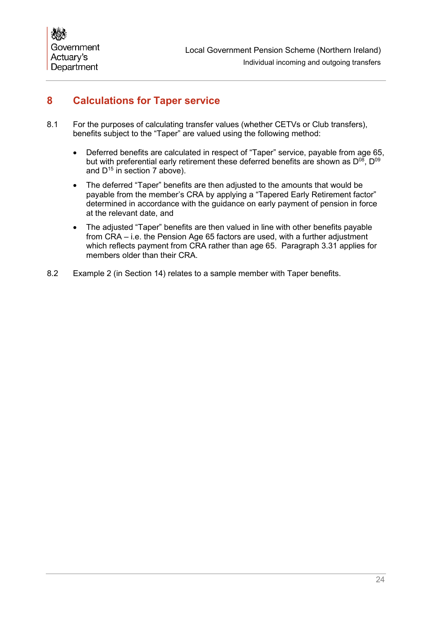## <span id="page-25-0"></span>**8 Calculations for Taper service**

- 8.1 For the purposes of calculating transfer values (whether CETVs or Club transfers), benefits subject to the "Taper" are valued using the following method:
	- Deferred benefits are calculated in respect of "Taper" service, payable from age 65. but with preferential early retirement these deferred benefits are shown as  $D^{08}$ ,  $D^{09}$ and  $D^{15}$  in section [7](#page-21-0) above).
	- The deferred "Taper" benefits are then adjusted to the amounts that would be payable from the member's CRA by applying a "Tapered Early Retirement factor" determined in accordance with the guidance on early payment of pension in force at the relevant date, and
	- The adjusted "Taper" benefits are then valued in line with other benefits payable from CRA – i.e. the Pension Age 65 factors are used, with a further adjustment which reflects payment from CRA rather than age 65. Paragraph [3.31](#page-14-0) applies for members older than their CRA.
- 8.2 Example 2 (in Section [14\)](#page-36-0) relates to a sample member with Taper benefits.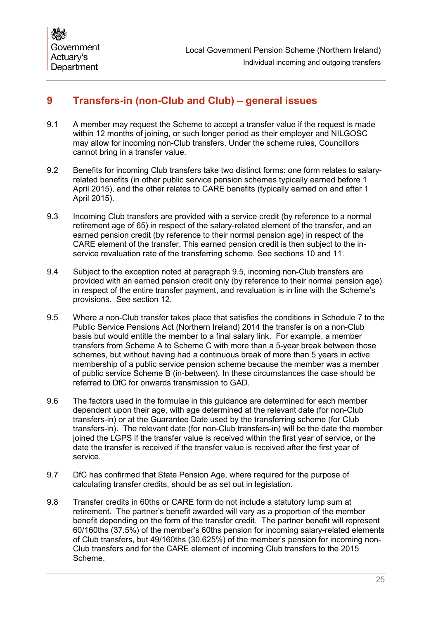## <span id="page-26-0"></span>**9 Transfers-in (non-Club and Club) – general issues**

- 9.1 A member may request the Scheme to accept a transfer value if the request is made within 12 months of joining, or such longer period as their employer and NILGOSC may allow for incoming non-Club transfers. Under the scheme rules, Councillors cannot bring in a transfer value.
- 9.2 Benefits for incoming Club transfers take two distinct forms: one form relates to salaryrelated benefits (in other public service pension schemes typically earned before 1 April 2015), and the other relates to CARE benefits (typically earned on and after 1 April 2015).
- 9.3 Incoming Club transfers are provided with a service credit (by reference to a normal retirement age of 65) in respect of the salary-related element of the transfer, and an earned pension credit (by reference to their normal pension age) in respect of the CARE element of the transfer. This earned pension credit is then subject to the inservice revaluation rate of the transferring scheme. See sections [10](#page-28-0) and [11.](#page-29-0)
- 9.4 Subject to the exception noted at paragraph [9.5,](#page-26-1) incoming non-Club transfers are provided with an earned pension credit only (by reference to their normal pension age) in respect of the entire transfer payment, and revaluation is in line with the Scheme's provisions. See section [12.](#page-33-0)
- <span id="page-26-1"></span>9.5 Where a non-Club transfer takes place that satisfies the conditions in Schedule 7 to the Public Service Pensions Act (Northern Ireland) 2014 the transfer is on a non-Club basis but would entitle the member to a final salary link. For example, a member transfers from Scheme A to Scheme C with more than a 5-year break between those schemes, but without having had a continuous break of more than 5 years in active membership of a public service pension scheme because the member was a member of public service Scheme B (in-between). In these circumstances the case should be referred to DfC for onwards transmission to GAD.
- 9.6 The factors used in the formulae in this guidance are determined for each member dependent upon their age, with age determined at the relevant date (for non-Club transfers-in) or at the Guarantee Date used by the transferring scheme (for Club transfers-in). The relevant date (for non-Club transfers-in) will be the date the member joined the LGPS if the transfer value is received within the first year of service, or the date the transfer is received if the transfer value is received after the first year of service.
- 9.7 DfC has confirmed that State Pension Age, where required for the purpose of calculating transfer credits, should be as set out in legislation.
- 9.8 Transfer credits in 60ths or CARE form do not include a statutory lump sum at retirement. The partner's benefit awarded will vary as a proportion of the member benefit depending on the form of the transfer credit. The partner benefit will represent 60/160ths (37.5%) of the member's 60ths pension for incoming salary-related elements of Club transfers, but 49/160ths (30.625%) of the member's pension for incoming non-Club transfers and for the CARE element of incoming Club transfers to the 2015 Scheme.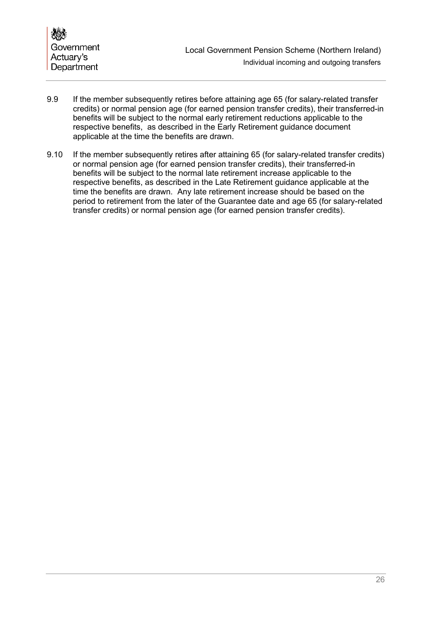

- 9.9 If the member subsequently retires before attaining age 65 (for salary-related transfer credits) or normal pension age (for earned pension transfer credits), their transferred-in benefits will be subject to the normal early retirement reductions applicable to the respective benefits, as described in the Early Retirement guidance document applicable at the time the benefits are drawn.
- 9.10 If the member subsequently retires after attaining 65 (for salary-related transfer credits) or normal pension age (for earned pension transfer credits), their transferred-in benefits will be subject to the normal late retirement increase applicable to the respective benefits, as described in the Late Retirement guidance applicable at the time the benefits are drawn. Any late retirement increase should be based on the period to retirement from the later of the Guarantee date and age 65 (for salary-related transfer credits) or normal pension age (for earned pension transfer credits).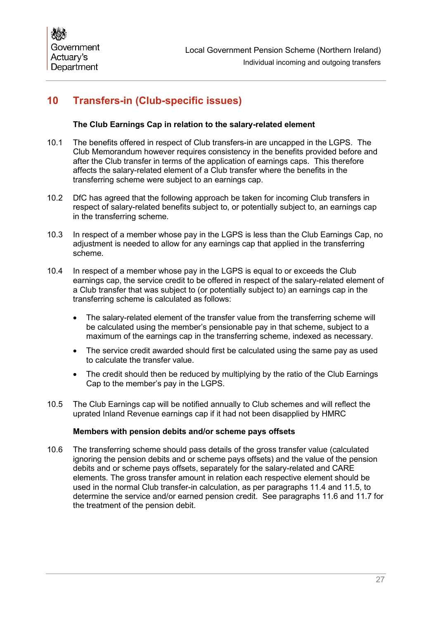## <span id="page-28-0"></span>**10 Transfers-in (Club-specific issues)**

## **The Club Earnings Cap in relation to the salary-related element**

- 10.1 The benefits offered in respect of Club transfers-in are uncapped in the LGPS. The Club Memorandum however requires consistency in the benefits provided before and after the Club transfer in terms of the application of earnings caps. This therefore affects the salary-related element of a Club transfer where the benefits in the transferring scheme were subject to an earnings cap.
- 10.2 DfC has agreed that the following approach be taken for incoming Club transfers in respect of salary-related benefits subject to, or potentially subject to, an earnings cap in the transferring scheme.
- 10.3 In respect of a member whose pay in the LGPS is less than the Club Earnings Cap, no adjustment is needed to allow for any earnings cap that applied in the transferring scheme.
- <span id="page-28-1"></span>10.4 In respect of a member whose pay in the LGPS is equal to or exceeds the Club earnings cap, the service credit to be offered in respect of the salary-related element of a Club transfer that was subject to (or potentially subject to) an earnings cap in the transferring scheme is calculated as follows:
	- The salary-related element of the transfer value from the transferring scheme will be calculated using the member's pensionable pay in that scheme, subject to a maximum of the earnings cap in the transferring scheme, indexed as necessary.
	- The service credit awarded should first be calculated using the same pay as used to calculate the transfer value.
	- The credit should then be reduced by multiplying by the ratio of the Club Earnings Cap to the member's pay in the LGPS.
- 10.5 The Club Earnings cap will be notified annually to Club schemes and will reflect the uprated Inland Revenue earnings cap if it had not been disapplied by HMRC

#### **Members with pension debits and/or scheme pays offsets**

10.6 The transferring scheme should pass details of the gross transfer value (calculated ignoring the pension debits and or scheme pays offsets) and the value of the pension debits and or scheme pays offsets, separately for the salary-related and CARE elements. The gross transfer amount in relation each respective element should be used in the normal Club transfer-in calculation, as per paragraphs [11.4](#page-30-0) and [11.5,](#page-30-1) to determine the service and/or earned pension credit. See paragraphs [11.6](#page-30-2) and [11.7](#page-30-3) for the treatment of the pension debit.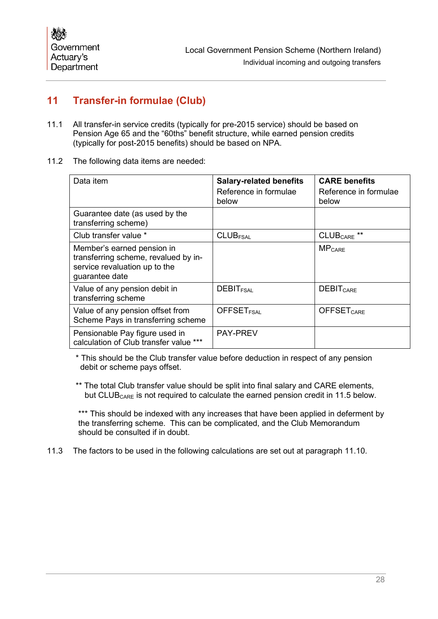## <span id="page-29-0"></span>**11 Transfer-in formulae (Club)**

- 11.1 All transfer-in service credits (typically for pre-2015 service) should be based on Pension Age 65 and the "60ths" benefit structure, while earned pension credits (typically for post-2015 benefits) should be based on NPA.
- 11.2 The following data items are needed:

| Data item                                                                                                             | <b>Salary-related benefits</b><br>Reference in formulae<br>below | <b>CARE benefits</b><br>Reference in formulae<br>below |
|-----------------------------------------------------------------------------------------------------------------------|------------------------------------------------------------------|--------------------------------------------------------|
| Guarantee date (as used by the<br>transferring scheme)                                                                |                                                                  |                                                        |
| Club transfer value *                                                                                                 | <b>CLUBFSAL</b>                                                  | CLUB <sub>CARE</sub> **                                |
| Member's earned pension in<br>transferring scheme, revalued by in-<br>service revaluation up to the<br>guarantee date |                                                                  | $MP_{CARE}$                                            |
| Value of any pension debit in<br>transferring scheme                                                                  | <b>DEBIT<sub>FSAL</sub></b>                                      | <b>DEBIT<sub>CARE</sub></b>                            |
| Value of any pension offset from<br>Scheme Pays in transferring scheme                                                | <b>OFFSET<sub>FSAL</sub></b>                                     | <b>OFFSET<sub>CARE</sub></b>                           |
| Pensionable Pay figure used in<br>calculation of Club transfer value ***                                              | <b>PAY-PREV</b>                                                  |                                                        |

\* This should be the Club transfer value before deduction in respect of any pension debit or scheme pays offset.

\*\* The total Club transfer value should be split into final salary and CARE elements, but CLUB<sub>CARE</sub> is not required to calculate the earned pension credit in [11.5](#page-30-1) below.

\*\*\* This should be indexed with any increases that have been applied in deferment by the transferring scheme. This can be complicated, and the Club Memorandum should be consulted if in doubt.

11.3 The factors to be used in the following calculations are set out at paragraph [11.10.](#page-32-0)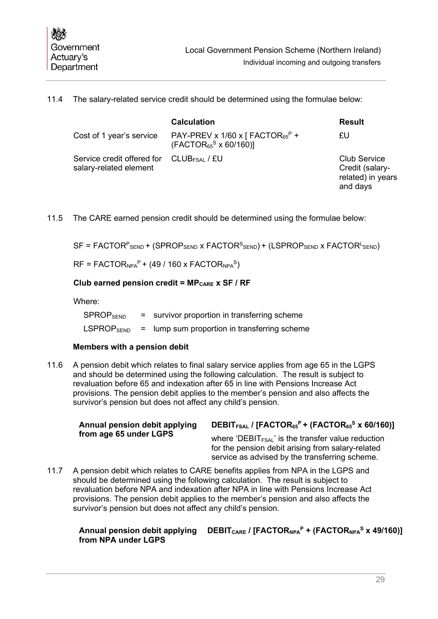<span id="page-30-0"></span>

|  |  |  | 11.4 The salary-related service credit should be determined using the formulae below: |
|--|--|--|---------------------------------------------------------------------------------------|
|--|--|--|---------------------------------------------------------------------------------------|

|                                                      | <b>Calculation</b>                                                                 | <b>Result</b>                                                           |
|------------------------------------------------------|------------------------------------------------------------------------------------|-------------------------------------------------------------------------|
| Cost of 1 year's service                             | PAY-PREV x 1/60 x [ FACTOR <sub>65</sub> <sup>P</sup> +<br>$(FACTOR65S × 60/160)]$ | £U                                                                      |
| Service credit offered for<br>salary-related element | CLUB <sub>FSAL</sub> / £U                                                          | <b>Club Service</b><br>Credit (salary-<br>related) in years<br>and days |

<span id="page-30-1"></span>11.5 The CARE earned pension credit should be determined using the formulae below:

 $\mathsf{SF}$  = <code>FACTOR $^\mathsf{P}_\mathsf{SEND}$ +</code> (SPROP $_\mathsf{SEND}$  x <code>FACTOR $^\mathsf{S}_\mathsf{END}$ )+</code> (LSPROP $_\mathsf{SEND}$  x <code>FACTOR $^\mathsf{L}_\mathsf{SEND}$ )</code>

 $RF = FACTOR<sub>NPA</sub><sup>P</sup> + (49 / 160 x FACTOR<sub>NPA</sub><sup>S</sup>)$ 

#### **Club earned pension credit = MP<sub>CARE</sub> x SF / RF**

Where:

 $SPROP<sub>SEND</sub>$  = survivor proportion in transferring scheme  $LSPROP<sub>SEND</sub>$  = lump sum proportion in transferring scheme

#### **Members with a pension debit**

<span id="page-30-2"></span>11.6 A pension debit which relates to final salary service applies from age 65 in the LGPS and should be determined using the following calculation. The result is subject to revaluation before 65 and indexation after 65 in line with Pensions Increase Act provisions. The pension debit applies to the member's pension and also affects the survivor's pension but does not affect any child's pension.

| Annual pension debit applying | DEBIT <sub>FSAL</sub> / [FACTOR <sub>65</sub> <sup>P</sup> + (FACTOR <sub>65</sub> <sup>S</sup> x 60/160)]                                                      |
|-------------------------------|-----------------------------------------------------------------------------------------------------------------------------------------------------------------|
| from age 65 under LGPS        | where 'DEBIT $_{FSAL}$ ' is the transfer value reduction<br>for the pension debit arising from salary-related<br>service as advised by the transferring scheme. |

<span id="page-30-3"></span>11.7 A pension debit which relates to CARE benefits applies from NPA in the LGPS and should be determined using the following calculation. The result is subject to revaluation before NPA and indexation after NPA in line with Pensions Increase Act provisions. The pension debit applies to the member's pension and also affects the survivor's pension but does not affect any child's pension.

#### **Annual pension debit applying DEBITCARE / [FACTORNPAP + (FACTORNPAS x 49/160)]from NPA under LGPS**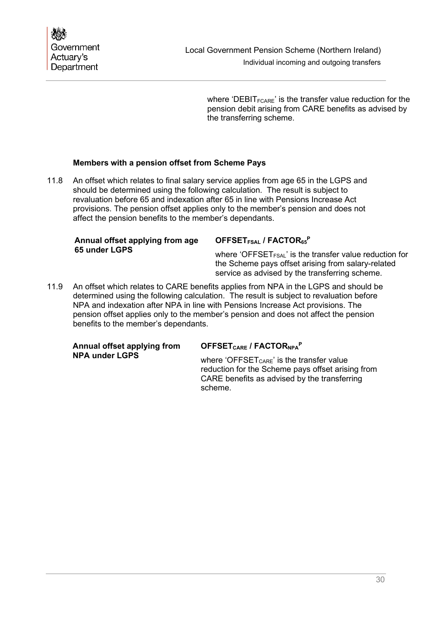where 'DEBIT $_{\text{FCARF}}$ ' is the transfer value reduction for the pension debit arising from CARE benefits as advised by the transferring scheme.

## **Members with a pension offset from Scheme Pays**

11.8 An offset which relates to final salary service applies from age 65 in the LGPS and should be determined using the following calculation. The result is subject to revaluation before 65 and indexation after 65 in line with Pensions Increase Act provisions. The pension offset applies only to the member's pension and does not affect the pension benefits to the member's dependants.

#### **Annual offset applying from age 65 under LGPS**

## **OFFSETFSAL / FACTOR65P**

where 'OFFSET $F_{FSAL}$ ' is the transfer value reduction for the Scheme pays offset arising from salary-related service as advised by the transferring scheme.

11.9 An offset which relates to CARE benefits applies from NPA in the LGPS and should be determined using the following calculation. The result is subject to revaluation before NPA and indexation after NPA in line with Pensions Increase Act provisions. The pension offset applies only to the member's pension and does not affect the pension benefits to the member's dependants.

| Annual offset applying from |  |
|-----------------------------|--|
| <b>NPA under LGPS</b>       |  |

## **OFFSETCARE / FACTORNPAP**

where 'OFFSET $_{CARE}$ ' is the transfer value reduction for the Scheme pays offset arising from CARE benefits as advised by the transferring scheme.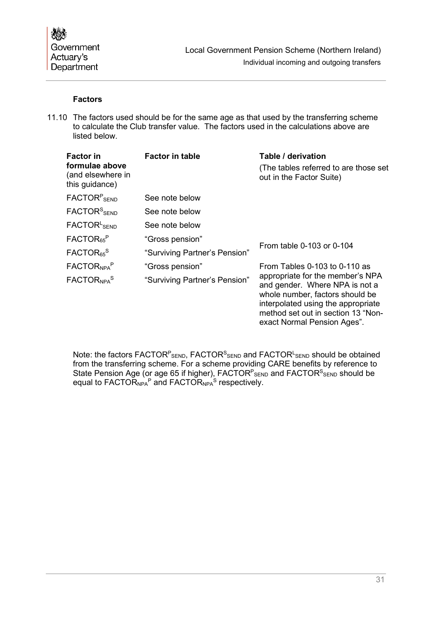## **Factors**

<span id="page-32-0"></span>11.10 The factors used should be for the same age as that used by the transferring scheme to calculate the Club transfer value. The factors used in the calculations above are listed below.

| <b>Factor in</b>                                      | <b>Factor in table</b>        | Table / derivation                                                                                                                                                                                               |
|-------------------------------------------------------|-------------------------------|------------------------------------------------------------------------------------------------------------------------------------------------------------------------------------------------------------------|
| formulae above<br>(and elsewhere in<br>this guidance) |                               | (The tables referred to are those set)<br>out in the Factor Suite)                                                                                                                                               |
| <b>FACTOR</b> <sup>P</sup> SEND                       | See note below                |                                                                                                                                                                                                                  |
| FACTOR <sup>S</sup> SEND                              | See note below                |                                                                                                                                                                                                                  |
| FACTOR <sup>L</sup> SFND                              | See note below                |                                                                                                                                                                                                                  |
| FACTOR <sub>65</sub> <sup>P</sup>                     | "Gross pension"               |                                                                                                                                                                                                                  |
| FACTOR <sub>65</sub> <sup>S</sup>                     | "Surviving Partner's Pension" | From table 0-103 or 0-104                                                                                                                                                                                        |
| FACTOR <sub>NPA</sub> P                               | "Gross pension"               | From Tables 0-103 to 0-110 as                                                                                                                                                                                    |
| FACTOR <sub>NPA</sub> S                               | "Surviving Partner's Pension" | appropriate for the member's NPA<br>and gender. Where NPA is not a<br>whole number, factors should be<br>interpolated using the appropriate<br>method set out in section 13 "Non-<br>exact Normal Pension Ages". |

Note: the factors FACTOR<sup>P</sup><sub>SEND</sub>, FACTOR<sup>S</sup><sub>SEND</sub> and FACTOR<sup>L</sup>SEND should be obtained from the transferring scheme. For a scheme providing CARE benefits by reference to State Pension Age (or age 65 if higher), FACTOR<sup>P</sup><sub>SEND</sub> and FACTOR<sup>S</sup><sub>SEND</sub> should be equal to  $FACTOR<sub>NPA</sub><sup>P</sup>$  and  $FACTOR<sub>NPA</sub><sup>S</sup>$  respectively.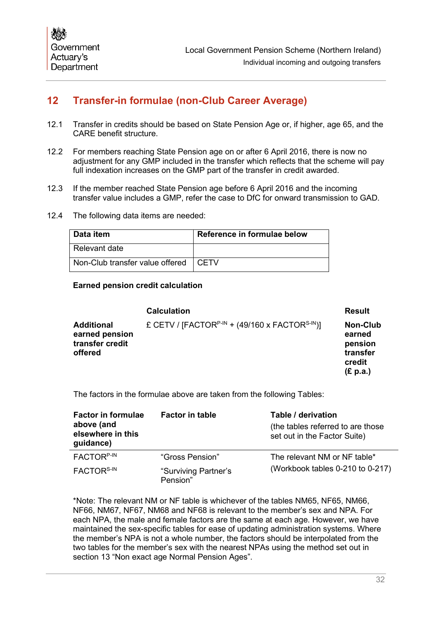## <span id="page-33-0"></span>**12 Transfer-in formulae (non-Club Career Average)**

- 12.1 Transfer in credits should be based on State Pension Age or, if higher, age 65, and the CARE benefit structure.
- 12.2 For members reaching State Pension age on or after 6 April 2016, there is now no adjustment for any GMP included in the transfer which reflects that the scheme will pay full indexation increases on the GMP part of the transfer in credit awarded.
- 12.3 If the member reached State Pension age before 6 April 2016 and the incoming transfer value includes a GMP, refer the case to DfC for onward transmission to GAD.
- 12.4 The following data items are needed:

| ∣ Data item                            | Reference in formulae below |
|----------------------------------------|-----------------------------|
| Relevant date                          |                             |
| Non-Club transfer value offered   CETV |                             |

#### **Earned pension credit calculation**

|                                                                   | <b>Calculation</b>                                                     | <b>Result</b>                                                   |
|-------------------------------------------------------------------|------------------------------------------------------------------------|-----------------------------------------------------------------|
| <b>Additional</b><br>earned pension<br>transfer credit<br>offered | £ CETV / [FACTOR <sup>P-IN</sup> + (49/160 x FACTOR <sup>S-IN</sup> )] | Non-Club<br>earned<br>pension<br>transfer<br>credit<br>(E p.a.) |

The factors in the formulae above are taken from the following Tables:

| <b>Factor in formulae</b><br>above (and<br>elsewhere in this<br>guidance) | <b>Factor in table</b>           | Table / derivation<br>(the tables referred to are those<br>set out in the Factor Suite) |
|---------------------------------------------------------------------------|----------------------------------|-----------------------------------------------------------------------------------------|
| FACTOR <sup>P-IN</sup>                                                    | "Gross Pension"                  | The relevant NM or NF table*                                                            |
| FACTOR <sup>S-IN</sup>                                                    | "Surviving Partner's<br>Pension" | (Workbook tables 0-210 to 0-217)                                                        |

\*Note: The relevant NM or NF table is whichever of the tables NM65, NF65, NM66, NF66, NM67, NF67, NM68 and NF68 is relevant to the member's sex and NPA. For each NPA, the male and female factors are the same at each age. However, we have maintained the sex-specific tables for ease of updating administration systems. Where the member's NPA is not a whole number, the factors should be interpolated from the two tables for the member's sex with the nearest NPAs using the method set out in section [13](#page-34-0) "Non exact age Normal Pension Ages".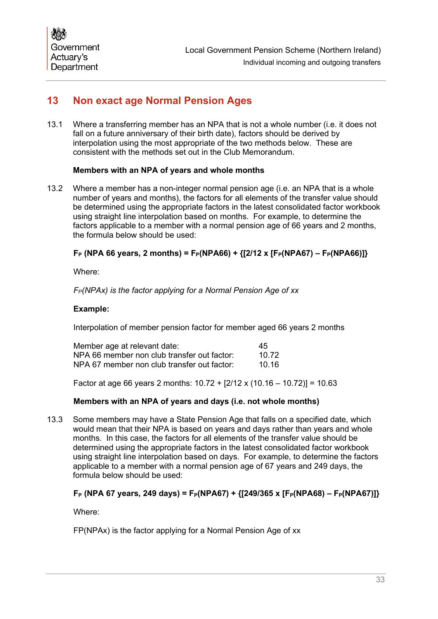## <span id="page-34-0"></span>**13 Non exact age Normal Pension Ages**

13.1 Where a transferring member has an NPA that is not a whole number (i.e. it does not fall on a future anniversary of their birth date), factors should be derived by interpolation using the most appropriate of the two methods below. These are consistent with the methods set out in the Club Memorandum.

## **Members with an NPA of years and whole months**

13.2 Where a member has a non-integer normal pension age (i.e. an NPA that is a whole number of years and months), the factors for all elements of the transfer value should be determined using the appropriate factors in the latest consolidated factor workbook using straight line interpolation based on months. For example, to determine the factors applicable to a member with a normal pension age of 66 years and 2 months, the formula below should be used:

## $F_P$  (NPA 66 years, 2 months) =  $F_P(NPA66) + \{(2/12 \times [F_P(NPA67) - F_P(NPA66)]\}$

Where:

*F<sub>P</sub>(NPAx) is the factor applying for a Normal Pension Age of xx* 

#### **Example:**

Interpolation of member pension factor for member aged 66 years 2 months

| Member age at relevant date:                | 45    |
|---------------------------------------------|-------|
| NPA 66 member non club transfer out factor: | 10.72 |
| NPA 67 member non club transfer out factor: | 10 16 |

Factor at age 66 years 2 months:  $10.72 + [2/12 \times (10.16 - 10.72)] = 10.63$ 

#### **Members with an NPA of years and days (i.e. not whole months)**

13.3 Some members may have a State Pension Age that falls on a specified date, which would mean that their NPA is based on years and days rather than years and whole months. In this case, the factors for all elements of the transfer value should be determined using the appropriate factors in the latest consolidated factor workbook using straight line interpolation based on days. For example, to determine the factors applicable to a member with a normal pension age of 67 years and 249 days, the formula below should be used:

## **F**<sub>P</sub> (NPA 67 years, 249 days) = F<sub>P</sub>(NPA67) + {[249/365 x [F<sub>P</sub>(NPA68) – F<sub>P</sub>(NPA67)]}

Where:

FP(NPAx) is the factor applying for a Normal Pension Age of xx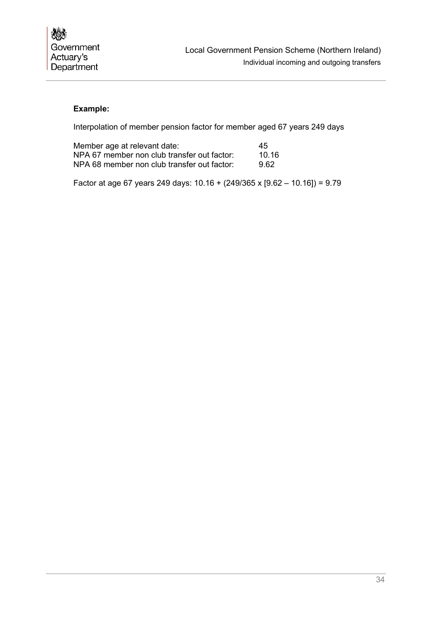## **Example:**

Interpolation of member pension factor for member aged 67 years 249 days

| Member age at relevant date:                | 45    |
|---------------------------------------------|-------|
| NPA 67 member non club transfer out factor: | 10.16 |
| NPA 68 member non club transfer out factor: | 962   |

Factor at age 67 years 249 days: 10.16 + (249/365 x [9.62 – 10.16]) = 9.79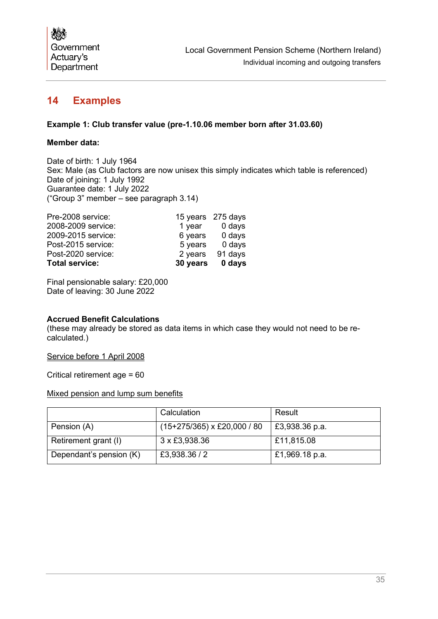

## <span id="page-36-0"></span>**14 Examples**

### **Example 1: Club transfer value (pre-1.10.06 member born after 31.03.60)**

#### **Member data:**

Date of birth: 1 July 1964 Sex: Male (as Club factors are now unisex this simply indicates which table is referenced) Date of joining: 1 July 1992 Guarantee date: 1 July 2022 ("Group 3" member – see paragraph [3.14\)](#page-10-0)

| <b>Total service:</b> | 30 years 0 days   |         |
|-----------------------|-------------------|---------|
| Post-2020 service:    | 2 years           | 91 days |
| Post-2015 service:    | 5 years           | 0 days  |
| 2009-2015 service:    | 6 years           | 0 days  |
| 2008-2009 service:    | 1 year            | 0 days  |
| Pre-2008 service:     | 15 years 275 days |         |

Final pensionable salary: £20,000 Date of leaving: 30 June 2022

#### **Accrued Benefit Calculations**

(these may already be stored as data items in which case they would not need to be recalculated.)

Service before 1 April 2008

Critical retirement age = 60

|  |  |  |  |  |  | Mixed pension and lump sum benefits |
|--|--|--|--|--|--|-------------------------------------|
|--|--|--|--|--|--|-------------------------------------|

|                         | Calculation                        | Result         |
|-------------------------|------------------------------------|----------------|
| Pension (A)             | $(15+275/365) \times £20,000 / 80$ | £3,938.36 p.a. |
| Retirement grant (I)    | 3 x £3,938.36                      | £11,815.08     |
| Dependant's pension (K) | £3,938.36 / 2                      | £1,969.18 p.a. |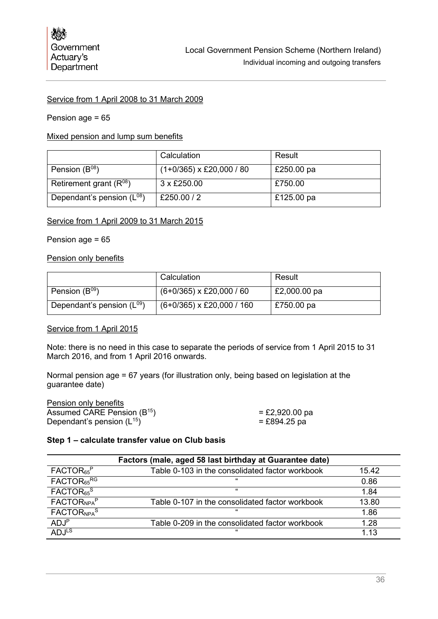#### Service from 1 April 2008 to 31 March 2009

#### Pension age = 65

#### Mixed pension and lump sum benefits

|                                | Calculation                     | Result     |
|--------------------------------|---------------------------------|------------|
| Pension $(B^{08})$             | $(1+0/365) \times £20,000 / 80$ | £250.00 pa |
| Retirement grant $(R^{08})$    | 3 x £250.00                     | £750.00    |
| Dependant's pension $(L^{08})$ | £250.00 / 2                     | £125.00 pa |

#### Service from 1 April 2009 to 31 March 2015

#### Pension age = 65

#### Pension only benefits

|                                | Calculation                      | Result       |
|--------------------------------|----------------------------------|--------------|
| Pension $(B^{09})$             | $(6+0/365) \times £20,000 / 60$  | £2,000.00 pa |
| Dependant's pension $(L^{09})$ | $(6+0/365) \times £20,000 / 160$ | £750.00 pa   |

#### Service from 1 April 2015

Note: there is no need in this case to separate the periods of service from 1 April 2015 to 31 March 2016, and from 1 April 2016 onwards.

Normal pension age = 67 years (for illustration only, being based on legislation at the guarantee date)

| Pension only benefits                   |                |
|-----------------------------------------|----------------|
| Assumed CARE Pension (B <sup>15</sup> ) | = £2,920.00 pa |
| Dependant's pension $(L^{15})$          | $=$ £894.25 pa |

#### **Step 1 – calculate transfer value on Club basis**

|                                    | Factors (male, aged 58 last birthday at Guarantee date) |       |
|------------------------------------|---------------------------------------------------------|-------|
| FACTOR <sub>65</sub> <sup>P</sup>  | Table 0-103 in the consolidated factor workbook         | 15.42 |
| FACTOR <sub>65</sub> RG            | $\epsilon$                                              | 0.86  |
| FACTOR <sub>65</sub> <sup>S</sup>  | "                                                       | 1.84  |
| FACTOR <sub>NPA</sub> P            | Table 0-107 in the consolidated factor workbook         | 13.80 |
| FACTOR <sub>NPA</sub> <sup>S</sup> | "                                                       | 1.86  |
| ADJ <sup>P</sup>                   | Table 0-209 in the consolidated factor workbook         | 1.28  |
| ADJ <sup>LS</sup>                  | "                                                       | 1 13  |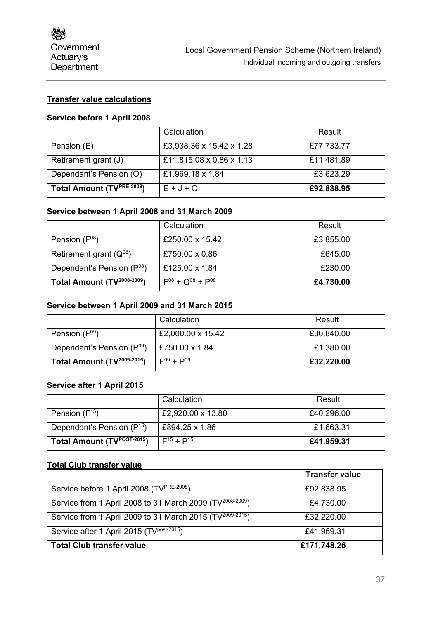## **Transfer value calculations**

## **Service before 1 April 2008**

|                                        | Calculation              | Result     |
|----------------------------------------|--------------------------|------------|
| Pension (E)                            | £3,938.36 x 15.42 x 1.28 | £77,733.77 |
| Retirement grant (J)                   | £11,815.08 x 0.86 x 1.13 | £11,481.89 |
| Dependant's Pension (O)                | £1,969.18 x 1.84         | £3,623.29  |
| Total Amount (TV <sup>PRE-2008</sup> ) | $E + J + O$              | £92,838.95 |

#### **Service between 1 April 2008 and 31 March 2009**

|                                         | Calculation                | Result    |
|-----------------------------------------|----------------------------|-----------|
| Pension $(F^{08})$                      | £250.00 x 15.42            | £3,855.00 |
| Retirement grant $(Q^{08})$             | £750.00 $\times$ 0.86      | £645.00   |
| Dependant's Pension (P <sup>08</sup> )  | £125.00 x 1.84             | £230.00   |
| Total Amount (TV <sup>2008-2009</sup> ) | $F^{08} + Q^{08} + P^{08}$ | £4,730.00 |

#### **Service between 1 April 2009 and 31 March 2015**

|                                        | Calculation       | Result     |
|----------------------------------------|-------------------|------------|
| Pension (F <sup>09</sup> )             | £2,000.00 x 15.42 | £30,840.00 |
| Dependant's Pension (P <sup>09</sup> ) | £750.00 x 1.84    | £1,380.00  |
| Total Amount (TV2009-2015)             | $F^{09} + P^{09}$ | £32,220.00 |

## **Service after 1 April 2015**

|                                         | Calculation       | Result     |
|-----------------------------------------|-------------------|------------|
| Pension $(F^{15})$                      | £2,920.00 x 13.80 | £40,296.00 |
| Dependant's Pension $(P^{15})$          | £894.25 x 1.86    | £1,663.31  |
| Total Amount (TV <sup>POST-2015</sup> ) | $F^{15} + P^{15}$ | £41.959.31 |

#### **Total Club transfer value**

|                                                                       | <b>Transfer value</b> |
|-----------------------------------------------------------------------|-----------------------|
| Service before 1 April 2008 (TVPRE-2008)                              | £92,838.95            |
| Service from 1 April 2008 to 31 March 2009 (TV <sup>2008-2009</sup> ) | £4,730.00             |
| Service from 1 April 2009 to 31 March 2015 (TV <sup>2009-2015</sup> ) | £32,220.00            |
| Service after 1 April 2015 (TV <sup>post-2015</sup> )                 | £41,959.31            |
| <b>Total Club transfer value</b>                                      | £171,748.26           |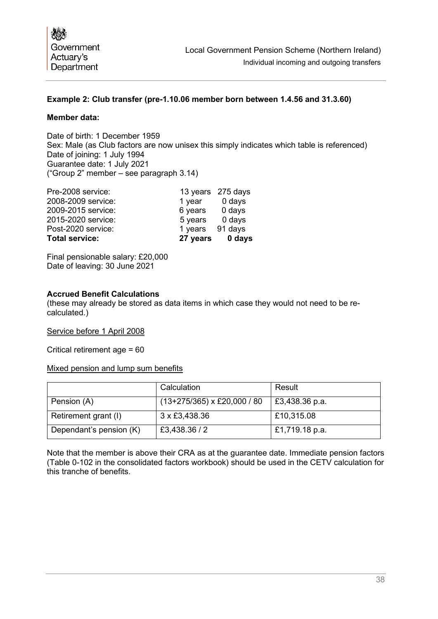## **Example 2: Club transfer (pre-1.10.06 member born between 1.4.56 and 31.3.60)**

#### **Member data:**

Date of birth: 1 December 1959 Sex: Male (as Club factors are now unisex this simply indicates which table is referenced) Date of joining: 1 July 1994 Guarantee date: 1 July 2021 ("Group 2" member – see paragraph [3.14\)](#page-10-0)

| <b>Total service:</b> |         | 27 years 0 days   |
|-----------------------|---------|-------------------|
| Post-2020 service:    | 1 years | 91 days           |
| 2015-2020 service:    | 5 years | 0 days            |
| 2009-2015 service:    | 6 years | 0 days            |
| 2008-2009 service:    | 1 year  | 0 days            |
| Pre-2008 service:     |         | 13 years 275 days |

Final pensionable salary: £20,000 Date of leaving: 30 June 2021

#### **Accrued Benefit Calculations**

(these may already be stored as data items in which case they would not need to be recalculated.)

Service before 1 April 2008

Critical retirement age = 60

Mixed pension and lump sum benefits

|                         | Calculation                   | Result         |
|-------------------------|-------------------------------|----------------|
| Pension (A)             | $(13+275/365)$ x £20,000 / 80 | £3,438.36 p.a. |
| Retirement grant (I)    | 3 x £3,438.36                 | £10,315.08     |
| Dependant's pension (K) | £3,438.36 / 2                 | £1,719.18 p.a. |

Note that the member is above their CRA as at the guarantee date. Immediate pension factors (Table 0-102 in the consolidated factors workbook) should be used in the CETV calculation for this tranche of benefits.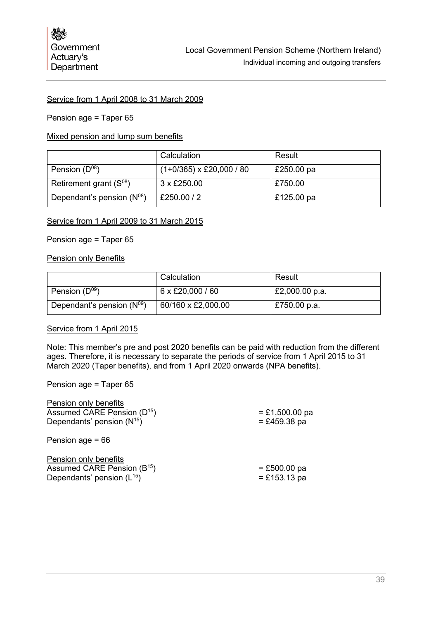#### Service from 1 April 2008 to 31 March 2009

#### Pension age = Taper 65

#### Mixed pension and lump sum benefits

|                                | Calculation                     | Result     |
|--------------------------------|---------------------------------|------------|
| Pension $(D^{08})$             | $(1+0/365) \times$ £20,000 / 80 | £250.00 pa |
| Retirement grant $(S^{08})$    | 3 x £250.00                     | £750.00    |
| Dependant's pension $(N^{08})$ | £250.00 / 2                     | £125.00 pa |

#### Service from 1 April 2009 to 31 March 2015

#### Pension age = Taper 65

#### **Pension only Benefits**

|                                | Calculation        | Result         |
|--------------------------------|--------------------|----------------|
| Pension $(D^{09})$             | 6 x £20,000 / 60   | £2,000.00 p.a. |
| Dependant's pension $(N^{09})$ | 60/160 x £2,000.00 | £750.00 p.a.   |

#### Service from 1 April 2015

Note: This member's pre and post 2020 benefits can be paid with reduction from the different ages. Therefore, it is necessary to separate the periods of service from 1 April 2015 to 31 March 2020 (Taper benefits), and from 1 April 2020 onwards (NPA benefits).

Pension age = Taper 65

| $= £1,500.00$ pa |
|------------------|
| $= £459.38$ pa   |
|                  |
|                  |
| $= £500.00$ pa   |
| $= £153.13$ pa   |
|                  |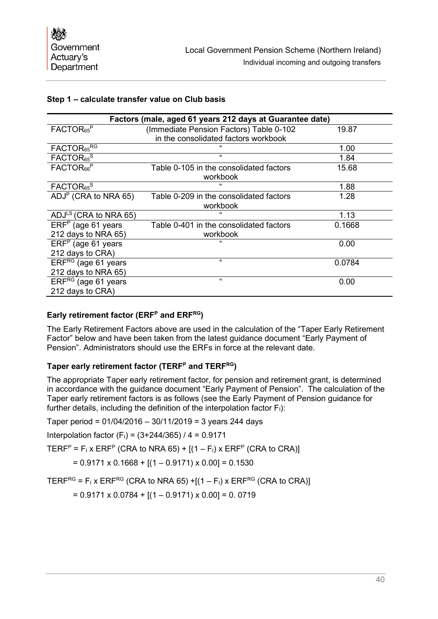#### **Step 1 – calculate transfer value on Club basis**

| Factors (male, aged 61 years 212 days at Guarantee date) |                                         |        |
|----------------------------------------------------------|-----------------------------------------|--------|
| FACTOR <sub>65</sub> <sup>P</sup>                        | (Immediate Pension Factors) Table 0-102 | 19.87  |
|                                                          | in the consolidated factors workbook    |        |
| FACTOR <sub>65</sub> RG                                  |                                         | 1.00   |
| FACTOR <sub>65</sub> <sup>S</sup>                        | $\mathbf{G}$                            | 1.84   |
| FACTOR <sub>66</sub> <sup>P</sup>                        | Table 0-105 in the consolidated factors | 15.68  |
|                                                          | workbook                                |        |
| FACTOR <sub>65</sub> <sup>S</sup>                        | "                                       | 1.88   |
| ADJ <sup>P</sup> (CRA to NRA 65)                         | Table 0-209 in the consolidated factors | 1.28   |
|                                                          | workbook                                |        |
| ADJ <sup>LS</sup> (CRA to NRA 65)                        | $\epsilon$                              | 1.13   |
| $ERFP$ (age 61 years                                     | Table 0-401 in the consolidated factors | 0.1668 |
| 212 days to NRA 65)                                      | workbook                                |        |
| $ERFP$ (age 61 years                                     | $\epsilon$                              | 0.00   |
| 212 days to CRA)                                         |                                         |        |
| ERFRG (age 61 years                                      | $\epsilon$                              | 0.0784 |
| 212 days to NRA 65)                                      |                                         |        |
| ERFRG (age 61 years                                      | "                                       | 0.00   |
| 212 days to CRA)                                         |                                         |        |

## **Early retirement factor (ERFP and ERFRG)**

The Early Retirement Factors above are used in the calculation of the "Taper Early Retirement Factor" below and have been taken from the latest guidance document "Early Payment of Pension". Administrators should use the ERFs in force at the relevant date.

## **Taper early retirement factor (TERFP and TERFRG)**

The appropriate Taper early retirement factor, for pension and retirement grant, is determined in accordance with the guidance document "Early Payment of Pension". The calculation of the Taper early retirement factors is as follows (see the Early Payment of Pension guidance for further details, including the definition of the interpolation factor  $F<sub>1</sub>$ ):

Taper period = 01/04/2016 – 30/11/2019 = 3 years 244 days

Interpolation factor  $(F<sub>1</sub>) = (3+244/365) / 4 = 0.9171$ 

TERF<sup>P</sup> = F<sub>I</sub> x ERF<sup>P</sup> (CRA to NRA 65) +  $[(1 - F<sub>1</sub>)$  x ERF<sup>P</sup> (CRA to CRA)]

$$
= 0.9171 \times 0.1668 + [(1 - 0.9171) \times 0.00] = 0.1530
$$

TERF<sup>RG</sup> = F<sub>I</sub> x ERF<sup>RG</sup> (CRA to NRA 65) +[ $(1 - F<sub>1</sub>)$  x ERF<sup>RG</sup> (CRA to CRA)]

 $= 0.9171 \times 0.0784 + [(1 - 0.9171) \times 0.00] = 0.0719$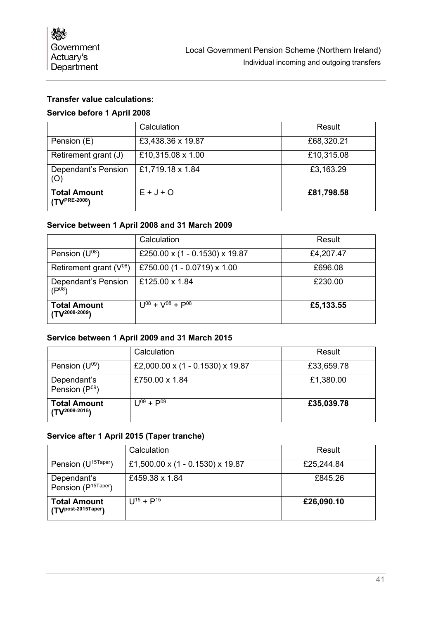## **Transfer value calculations:**

### **Service before 1 April 2008**

|                                          | Calculation       | Result     |
|------------------------------------------|-------------------|------------|
| Pension (E)                              | £3,438.36 x 19.87 | £68,320.21 |
| Retirement grant (J)                     | £10,315.08 x 1.00 | £10,315.08 |
| Dependant's Pension<br>(O)               | £1,719.18 x 1.84  | £3,163.29  |
| <b>Total Amount</b><br>$(TV^{PRE-2008})$ | $E + J + O$       | £81,798.58 |

#### **Service between 1 April 2008 and 31 March 2009**

|                                          | Calculation                    | Result    |
|------------------------------------------|--------------------------------|-----------|
| Pension $(U^{08})$                       | £250.00 x (1 - 0.1530) x 19.87 | £4,207.47 |
| Retirement grant $(V^{08})$              | £750.00 (1 - 0.0719) x 1.00    | £696.08   |
| Dependant's Pension<br>(D <sup>08)</sup> | £125.00 x 1.84                 | £230.00   |
| <b>Total Amount</b><br>(TV2008-2009)     | $U^{08} + V^{08} + P^{08}$     | £5,133.55 |

## **Service between 1 April 2009 and 31 March 2015**

|                                           | Calculation                      | Result     |
|-------------------------------------------|----------------------------------|------------|
| Pension $(U^{09})$                        | £2,000.00 x (1 - 0.1530) x 19.87 | £33,659.78 |
| Dependant's<br>Pension $(P^{09})$         | £750.00 x 1.84                   | £1,380.00  |
| <b>Total Amount</b><br>$(TV^{2009-2015})$ | $U^{09} + P^{09}$                | £35,039.78 |

#### **Service after 1 April 2015 (Taper tranche)**

|                                                | Calculation                      | Result     |
|------------------------------------------------|----------------------------------|------------|
| Pension (U <sup>15Taper</sup> )                | £1,500.00 x (1 - 0.1530) x 19.87 | £25,244.84 |
| Dependant's<br>Pension (P <sup>15Taper</sup> ) | £459.38 x 1.84                   | £845.26    |
| <b>Total Amount</b><br>(TVpost-2015Taper)      | $11^{15} + P^{15}$               | £26,090.10 |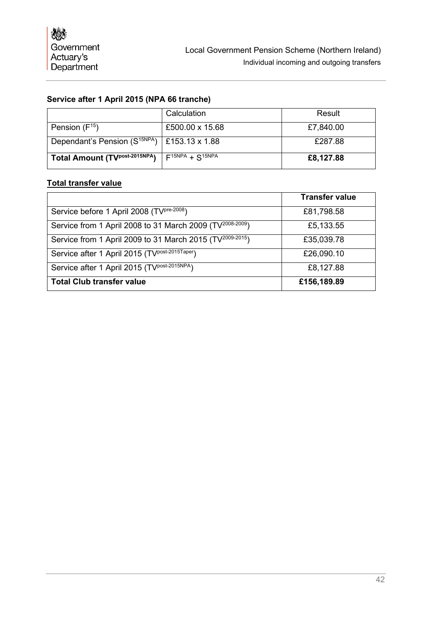## **Service after 1 April 2015 (NPA 66 tranche)**

|                                                      | Calculation             | Result    |
|------------------------------------------------------|-------------------------|-----------|
| Pension $(F^{15})$                                   | £500.00 x 15.68         | £7,840.00 |
| Dependant's Pension ( $S^{15NPA}$ )   £153.13 x 1.88 |                         | £287.88   |
| Total Amount (TVPost-2015NPA)                        | $F^{15NPA} + S^{15NPA}$ | £8,127.88 |

## **Total transfer value**

|                                                                       | <b>Transfer value</b> |
|-----------------------------------------------------------------------|-----------------------|
| Service before 1 April 2008 (TV <sup>pre-2008</sup> )                 | £81,798.58            |
| Service from 1 April 2008 to 31 March 2009 (TV <sup>2008-2009</sup> ) | £5,133.55             |
| Service from 1 April 2009 to 31 March 2015 (TV <sup>2009-2015</sup> ) | £35,039.78            |
| Service after 1 April 2015 (TV <sup>post-2015Taper</sup> )            | £26,090.10            |
| Service after 1 April 2015 (TV <sup>post-2015NPA</sup> )              | £8,127.88             |
| <b>Total Club transfer value</b>                                      | £156,189.89           |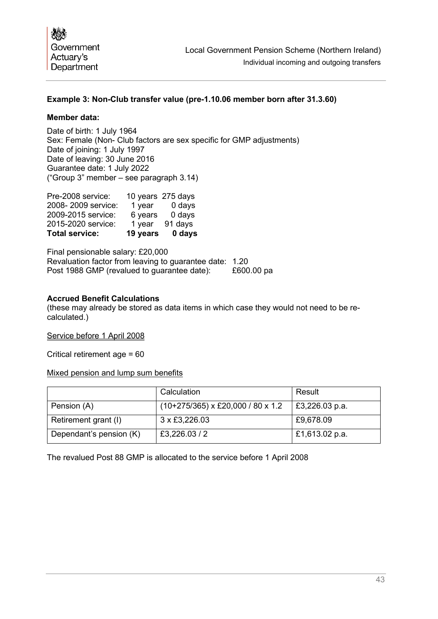## **Example 3: Non-Club transfer value (pre-1.10.06 member born after 31.3.60)**

#### **Member data:**

Date of birth: 1 July 1964 Sex: Female (Non- Club factors are sex specific for GMP adjustments) Date of joining: 1 July 1997 Date of leaving: 30 June 2016 Guarantee date: 1 July 2022 ("Group 3" member – see paragraph [3.14\)](#page-10-0)

| <b>Total service:</b> | 19 years | 0 days            |
|-----------------------|----------|-------------------|
| 2015-2020 service:    | 1 year   | 91 days           |
| 2009-2015 service:    | 6 years  | 0 days            |
| 2008-2009 service:    | 1 year   | 0 days            |
| Pre-2008 service:     |          | 10 years 275 days |

Final pensionable salary: £20,000 Revaluation factor from leaving to guarantee date: 1.20 Post 1988 GMP (revalued to quarantee date): £600.00 pa

#### **Accrued Benefit Calculations**

(these may already be stored as data items in which case they would not need to be recalculated.)

Service before 1 April 2008

Critical retirement age = 60

Mixed pension and lump sum benefits

|                         | Calculation                         | Result         |
|-------------------------|-------------------------------------|----------------|
| Pension (A)             | $(10+275/365)$ x £20,000 / 80 x 1.2 | £3,226.03 p.a. |
| Retirement grant (I)    | 3 x £3,226.03                       | £9,678.09      |
| Dependant's pension (K) | £3,226.03/2                         | £1,613.02 p.a. |

The revalued Post 88 GMP is allocated to the service before 1 April 2008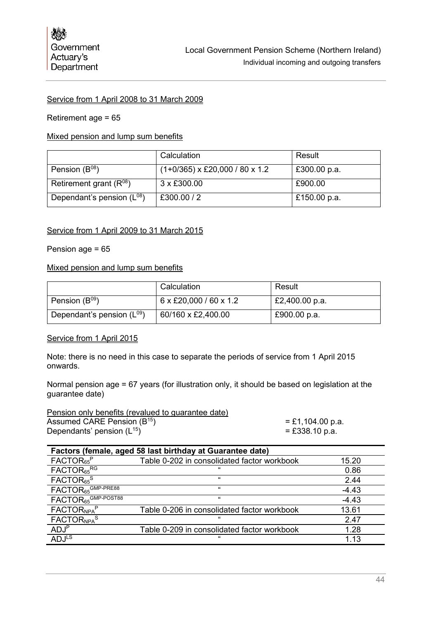#### Service from 1 April 2008 to 31 March 2009

#### Retirement age = 65

#### Mixed pension and lump sum benefits

|                                | Calculation                      | Result       |
|--------------------------------|----------------------------------|--------------|
| Pension $(B^{08})$             | $(1+0/365)$ x £20,000 / 80 x 1.2 | £300.00 p.a. |
| Retirement grant $(R^{08})$    | 3 x £300.00                      | £900.00      |
| Dependant's pension $(L^{08})$ | £300.00/2                        | £150.00 p.a. |

#### Service from 1 April 2009 to 31 March 2015

#### Pension age = 65

#### Mixed pension and lump sum benefits

|                                | Calculation                        | Result         |
|--------------------------------|------------------------------------|----------------|
| Pension $(B^{09})$             | $6 \times £20,000 / 60 \times 1.2$ | £2,400.00 p.a. |
| Dependant's pension $(L^{09})$ | 60/160 x £2,400.00                 | £900.00 p.a.   |

#### Service from 1 April 2015

Note: there is no need in this case to separate the periods of service from 1 April 2015 onwards.

Normal pension age = 67 years (for illustration only, it should be based on legislation at the guarantee date)

#### Pension only benefits (revalued to guarantee date) Assumed CARE Pension (B<sup>15</sup>) )  $= \pounds 1,104.00 \text{ p.a.}$ Dependants' pension  $(L^{15})$

| = £1,104.00 p.:  |
|------------------|
| $= £338.10 p.a.$ |

| Factors (female, aged 58 last birthday at Guarantee date) |                                             |         |
|-----------------------------------------------------------|---------------------------------------------|---------|
| FACTOR <sub>65</sub> <sup>P</sup>                         | Table 0-202 in consolidated factor workbook | 15.20   |
| FACTOR <sub>65</sub> RG                                   | "                                           | 0.86    |
| FACTOR <sub>65</sub> <sup>S</sup>                         | "                                           | 2.44    |
| FACTOR <sub>65</sub> GMP-PRE88                            | "                                           | $-4.43$ |
| FACTOR <sub>65</sub> GMP-POST88                           | "                                           | $-4.43$ |
| FACTOR <sub>NPA</sub> P                                   | Table 0-206 in consolidated factor workbook | 13.61   |
| FACTOR <sub>NPA</sub> S                                   | "                                           | 2.47    |
| ADJ <sup>P</sup>                                          | Table 0-209 in consolidated factor workbook | 1.28    |
| ADJ <sup>LS</sup>                                         | "                                           | 1.13    |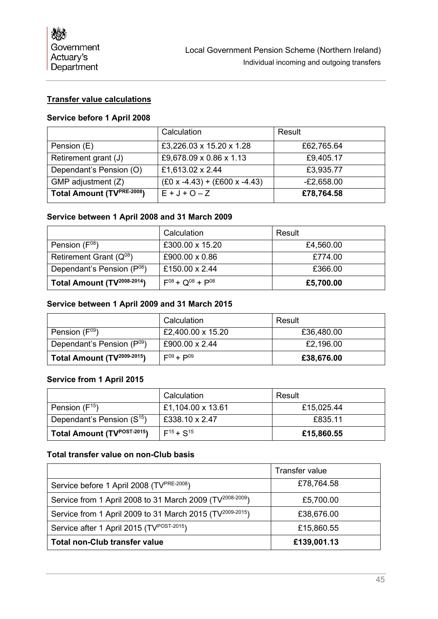## **Transfer value calculations**

## **Service before 1 April 2008**

|                           | Calculation                     | Result       |
|---------------------------|---------------------------------|--------------|
| Pension (E)               | £3,226.03 x 15.20 x 1.28        | £62,765.64   |
| Retirement grant (J)      | £9,678.09 x 0.86 x 1.13         | £9,405.17    |
| Dependant's Pension (O)   | £1,613.02 x 2.44                | £3,935.77    |
| GMP adjustment (Z)        | $(£0 x -4.43) + (£600 x -4.43)$ | $-E2,658.00$ |
| Total Amount (TVPRE-2008) | $E + J + O - Z$                 | £78,764.58   |

#### **Service between 1 April 2008 and 31 March 2009**

|                                         | Calculation                | Result    |
|-----------------------------------------|----------------------------|-----------|
| Pension $(F^{08})$                      | £300.00 x 15.20            | £4,560.00 |
| Retirement Grant $(Q^{08})$             | £900.00 x 0.86             | £774.00   |
| Dependant's Pension (P <sup>08</sup> )  | £150.00 $\times$ 2.44      | £366.00   |
| Total Amount (TV <sup>2008-2014</sup> ) | $F^{08} + Q^{08} + P^{08}$ | £5,700.00 |

## **Service between 1 April 2009 and 31 March 2015**

|                                         | Calculation       | Result     |
|-----------------------------------------|-------------------|------------|
| Pension $(\mathsf{F}^{09})$             | £2,400.00 x 15.20 | £36,480.00 |
| Dependant's Pension (P <sup>09</sup> )  | £900.00 x 2.44    | £2,196.00  |
| Total Amount (TV <sup>2009-2015</sup> ) | $F^{09} + P^{09}$ | £38,676.00 |

#### **Service from 1 April 2015**

|                                         | Calculation       | Result     |
|-----------------------------------------|-------------------|------------|
| Pension $(F^{15})$                      | £1,104.00 x 13.61 | £15,025.44 |
| Dependant's Pension $(S^{15})$          | £338.10 x 2.47    | £835.11    |
| Total Amount (TV <sup>POST-2015</sup> ) | $F^{15} + S^{15}$ | £15,860.55 |

## **Total transfer value on non-Club basis**

|                                                                       | <b>Transfer value</b> |
|-----------------------------------------------------------------------|-----------------------|
| Service before 1 April 2008 (TV <sup>PRE-2008</sup> )                 | £78,764.58            |
| Service from 1 April 2008 to 31 March 2009 (TV <sup>2008-2009</sup> ) | £5,700.00             |
| Service from 1 April 2009 to 31 March 2015 (TV <sup>2009-2015</sup> ) | £38,676.00            |
| Service after 1 April 2015 (TV <sup>POST-2015</sup> )                 | £15,860.55            |
| <b>Total non-Club transfer value</b>                                  | £139,001.13           |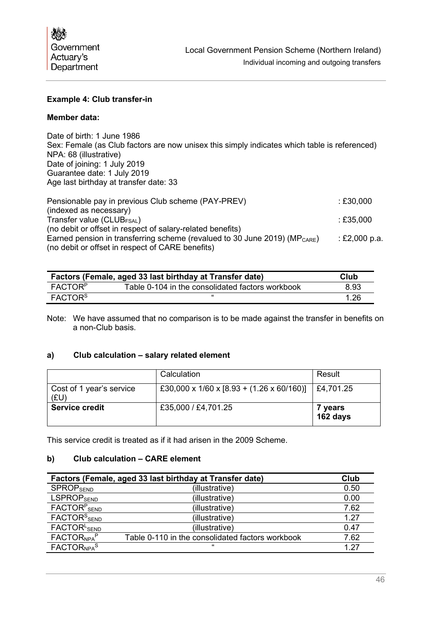

#### **Example 4: Club transfer-in**

#### **Member data:**

Date of birth: 1 June 1986 Sex: Female (as Club factors are now unisex this simply indicates which table is referenced) NPA: 68 (illustrative) Date of joining: 1 July 2019 Guarantee date: 1 July 2019 Age last birthday at transfer date: 33

| Pensionable pay in previous Club scheme (PAY-PREV)                               | :£30,000      |
|----------------------------------------------------------------------------------|---------------|
| (indexed as necessary)                                                           |               |
| Transfer value ( $CLUB_{FSAL}$ )                                                 | $\pm 235,000$ |
| (no debit or offset in respect of salary-related benefits)                       |               |
| Earned pension in transferring scheme (revalued to 30 June 2019) ( $MP_{CARE}$ ) | : £2,000 p.a. |
| (no debit or offset in respect of CARE benefits)                                 |               |

| Factors (Female, aged 33 last birthday at Transfer date) |                                                  | Club |
|----------------------------------------------------------|--------------------------------------------------|------|
| <b>FACTORP</b>                                           | Table 0-104 in the consolidated factors workbook | 8.93 |
| $\mathsf{FACTOR}^{\mathsf{S}}$                           | "                                                | 1.26 |

Note: We have assumed that no comparison is to be made against the transfer in benefits on a non-Club basis.

#### **a) Club calculation – salary related element**

|                                  | Calculation                               | Result              |
|----------------------------------|-------------------------------------------|---------------------|
| Cost of 1 year's service<br>(EU) | £30,000 x 1/60 x [8.93 + (1.26 x 60/160)] | £4,701.25           |
| <b>Service credit</b>            | £35,000 / £4,701.25                       | 7 years<br>162 days |

This service credit is treated as if it had arisen in the 2009 Scheme.

#### **b) Club calculation – CARE element**

| Factors (Female, aged 33 last birthday at Transfer date) |                                                  | Club |
|----------------------------------------------------------|--------------------------------------------------|------|
| <b>SPROPSEND</b>                                         | (illustrative)                                   | 0.50 |
| <b>LSPROPSEND</b>                                        | (illustrative)                                   | 0.00 |
| FACTOR <sup>P</sup> SEND                                 | (illustrative)                                   | 7.62 |
| $FACTORS$ SEND                                           | (illustrative)                                   | 1.27 |
| FACTOR <sup>L</sup> SEND                                 | (illustrative)                                   | 0.47 |
| FACTOR <sub>NPA</sub> P                                  | Table 0-110 in the consolidated factors workbook | 7.62 |
| FACTOR <sub>NPA</sub> S                                  | $\epsilon$                                       | 1 27 |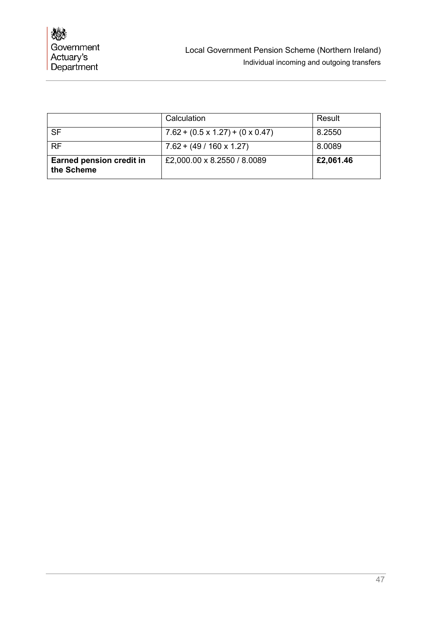|                                               | Calculation                                  | Result    |
|-----------------------------------------------|----------------------------------------------|-----------|
| <b>SF</b>                                     | $7.62 + (0.5 \times 1.27) + (0 \times 0.47)$ | 8.2550    |
| <b>RF</b>                                     | $7.62 + (49 / 160 \times 1.27)$              | 8.0089    |
| <b>Earned pension credit in</b><br>the Scheme | £2,000.00 x 8.2550 / 8.0089                  | £2,061.46 |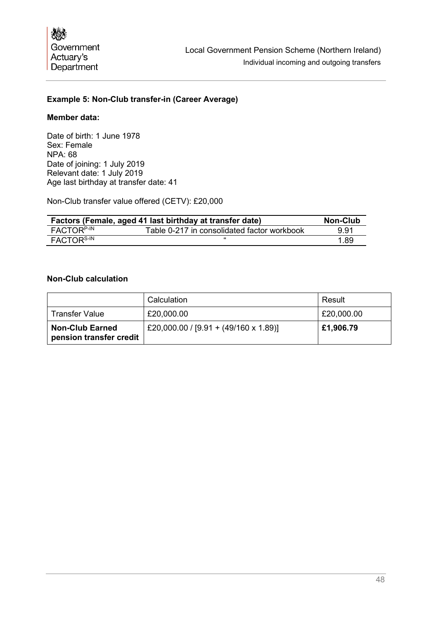## **Example 5: Non-Club transfer-in (Career Average)**

#### **Member data:**

Date of birth: 1 June 1978 Sex: Female NPA: 68 Date of joining: 1 July 2019 Relevant date: 1 July 2019 Age last birthday at transfer date: 41

Non-Club transfer value offered (CETV): £20,000

| Factors (Female, aged 41 last birthday at transfer date) |                                             | <b>Non-Club</b> |
|----------------------------------------------------------|---------------------------------------------|-----------------|
| FACTOR <sup>P-IN</sup>                                   | Table 0-217 in consolidated factor workbook | 9.91            |
| FACTOR <sup>S-IN</sup>                                   |                                             | 1.89            |

#### **Non-Club calculation**

|                                                   | Calculation                                  | Result     |
|---------------------------------------------------|----------------------------------------------|------------|
| <b>Transfer Value</b>                             | £20,000.00                                   | £20,000.00 |
| <b>Non-Club Earned</b><br>pension transfer credit | £20,000.00 / $[9.91 + (49/160 \times 1.89)]$ | £1,906.79  |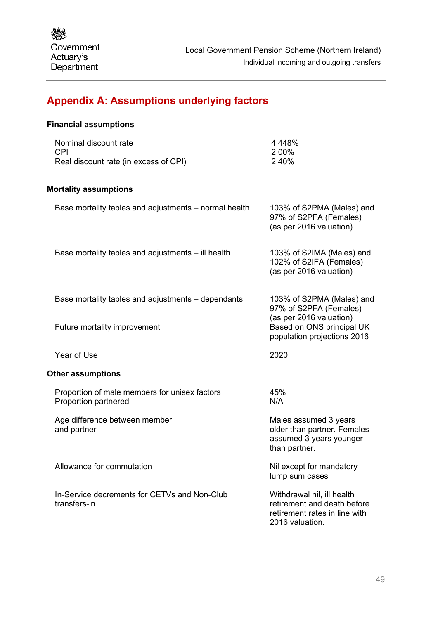# <span id="page-50-0"></span>**Appendix A: Assumptions underlying factors**

## **Financial assumptions**

| Nominal discount rate                 | 4.448% |
|---------------------------------------|--------|
| CPI.                                  | 2.00%  |
| Real discount rate (in excess of CPI) | 2.40%  |

## **Mortality assumptions**

| Base mortality tables and adjustments - normal health                 | 103% of S2PMA (Males) and<br>97% of S2PFA (Females)<br>(as per 2016 valuation)                                |
|-----------------------------------------------------------------------|---------------------------------------------------------------------------------------------------------------|
| Base mortality tables and adjustments - ill health                    | 103% of S2IMA (Males) and<br>102% of S2IFA (Females)<br>(as per 2016 valuation)                               |
| Base mortality tables and adjustments – dependants                    | 103% of S2PMA (Males) and<br>97% of S2PFA (Females)<br>(as per 2016 valuation)                                |
| Future mortality improvement                                          | Based on ONS principal UK<br>population projections 2016                                                      |
| Year of Use                                                           | 2020                                                                                                          |
| <b>Other assumptions</b>                                              |                                                                                                               |
| Proportion of male members for unisex factors<br>Proportion partnered | 45%<br>N/A                                                                                                    |
| Age difference between member<br>and partner                          | Males assumed 3 years<br>older than partner. Females<br>assumed 3 years younger<br>than partner.              |
| Allowance for commutation                                             | Nil except for mandatory<br>lump sum cases                                                                    |
| In-Service decrements for CETVs and Non-Club<br>transfers-in          | Withdrawal nil, ill health<br>retirement and death before<br>retirement rates in line with<br>2016 valuation. |